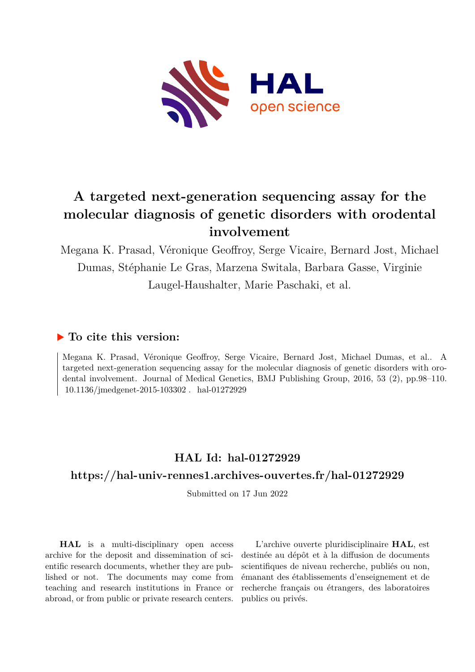

# **A targeted next-generation sequencing assay for the molecular diagnosis of genetic disorders with orodental involvement**

Megana K. Prasad, Véronique Geoffroy, Serge Vicaire, Bernard Jost, Michael Dumas, Stéphanie Le Gras, Marzena Switala, Barbara Gasse, Virginie Laugel-Haushalter, Marie Paschaki, et al.

# **To cite this version:**

Megana K. Prasad, Véronique Geoffroy, Serge Vicaire, Bernard Jost, Michael Dumas, et al.. A targeted next-generation sequencing assay for the molecular diagnosis of genetic disorders with orodental involvement. Journal of Medical Genetics, BMJ Publishing Group, 2016, 53 (2), pp.98–110.  $10.1136/jmedgenet-2015-103302$ . hal-01272929

# **HAL Id: hal-01272929**

# **<https://hal-univ-rennes1.archives-ouvertes.fr/hal-01272929>**

Submitted on 17 Jun 2022

**HAL** is a multi-disciplinary open access archive for the deposit and dissemination of scientific research documents, whether they are published or not. The documents may come from teaching and research institutions in France or abroad, or from public or private research centers.

L'archive ouverte pluridisciplinaire **HAL**, est destinée au dépôt et à la diffusion de documents scientifiques de niveau recherche, publiés ou non, émanant des établissements d'enseignement et de recherche français ou étrangers, des laboratoires publics ou privés.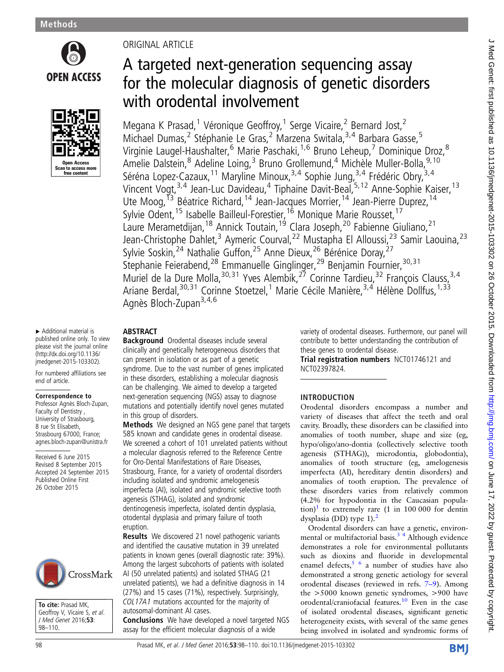



#### ▸ Additional material is published online only. To view please visit the journal online [\(http://dx.doi.org/10.1136/](http://dx.doi.org/10.1136/jmedgenet-2015-103302) [jmedgenet-2015-103302\)](http://dx.doi.org/10.1136/jmedgenet-2015-103302).

For numbered affiliations see end of article.

#### Correspondence to

Professor Agnès Bloch-Zupan, Faculty of Dentistry , University of Strasbourg, 8 rue St Elisabeth, Strasbourg 67000, France; agnes.bloch-zupan@unistra.fr

Received 6 June 2015 Revised 8 September 2015 Accepted 24 September 2015 Published Online First 26 October 2015



To cite: Prasad MK, Geoffroy V, Vicaire S, et al. J Med Genet 2016;53: 98–110.

# ORIGINAL ARTICLE

# A targeted next-generation sequencing assay for the molecular diagnosis of genetic disorders with orodental involvement

Megana K Prasad,<sup>1</sup> Véronique Geoffroy,<sup>1</sup> Serge Vicaire,<sup>2</sup> Bernard Jost,<sup>2</sup> Michael Dumas,<sup>2</sup> Stéphanie Le Gras,<sup>2</sup> Marzena Switala,<sup>3,4</sup> Barbara Gasse,<sup>5</sup> Virginie Laugel-Haushalter,<sup>6</sup> Marie Paschaki,<sup>1,6</sup> Bruno Leheup,<sup>7</sup> Dominique Droz,<sup>8</sup> Amelie Dalstein,<sup>8</sup> Adeline Loing,<sup>3</sup> Bruno Grollemund,<sup>4</sup> Michèle Muller-Bolla,<sup>9,10</sup> Séréna Lopez-Cazaux,<sup>11</sup> Maryline Minoux,<sup>3,4</sup> Sophie Jung,<sup>3,4</sup> Frédéric Obry,<sup>3,4</sup> Vincent Vogt,<sup>3,4</sup> Jean-Luc Davideau,<sup>4</sup> Tiphaine Davit-Beal,<sup>5,12</sup> Anne-Sophie Kaiser,<sup>13</sup> Ute Moog, <sup>13</sup> Béatrice Richard, <sup>14</sup> Jean-Jacques Morrier, <sup>14</sup> Jean-Pierre Duprez, <sup>14</sup> Sylvie Odent, <sup>15</sup> Isabelle Bailleul-Forestier, <sup>16</sup> Monique Marie Rousset, <sup>17</sup> Laure Merametdijan, <sup>18</sup> Annick Toutain, <sup>19</sup> Clara Joseph, <sup>20</sup> Fabienne Giuliano, <sup>21</sup> Jean-Christophe Dahlet,<sup>3</sup> Aymeric Courval,<sup>22</sup> Mustapha El Alloussi,<sup>23</sup> Samir Laouina,<sup>23</sup> Sylvie Soskin, <sup>24</sup> Nathalie Guffon, <sup>25</sup> Anne Dieux, <sup>26</sup> Bérénice Doray, <sup>27</sup> Stephanie Feierabend, <sup>28</sup> Emmanuelle Ginglinger, <sup>29</sup> Benjamin Fournier, <sup>30, 31</sup> Muriel de la Dure Molla,  $30,31$  Yves Alembik,  $27$  Corinne Tardieu,  $32$  François Clauss,  $3,4$ Ariane Berdal, <sup>30,31</sup> Corinne Stoetzel, <sup>1</sup> Marie Cécile Manière, <sup>3,4</sup> Hélène Dollfus, <sup>1,33</sup> Agnès Bloch-Zupan<sup>3,4,6</sup>

## ABSTRACT

Background Orodental diseases include several clinically and genetically heterogeneous disorders that can present in isolation or as part of a genetic syndrome. Due to the vast number of genes implicated in these disorders, establishing a molecular diagnosis can be challenging. We aimed to develop a targeted next-generation sequencing (NGS) assay to diagnose mutations and potentially identify novel genes mutated in this group of disorders.

Methods We designed an NGS gene panel that targets 585 known and candidate genes in orodental disease. We screened a cohort of 101 unrelated patients without a molecular diagnosis referred to the Reference Centre for Oro-Dental Manifestations of Rare Diseases, Strasbourg, France, for a variety of orodental disorders including isolated and syndromic amelogenesis imperfecta (AI), isolated and syndromic selective tooth agenesis (STHAG), isolated and syndromic dentinogenesis imperfecta, isolated dentin dysplasia, otodental dysplasia and primary failure of tooth eruption.

**Results** We discovered 21 novel pathogenic variants and identified the causative mutation in 39 unrelated patients in known genes (overall diagnostic rate: 39%). Among the largest subcohorts of patients with isolated AI (50 unrelated patients) and isolated STHAG (21 unrelated patients), we had a definitive diagnosis in 14 (27%) and 15 cases (71%), respectively. Surprisingly, COL17A1 mutations accounted for the majority of autosomal-dominant AI cases.

Conclusions We have developed a novel targeted NGS assay for the efficient molecular diagnosis of a wide

variety of orodental diseases. Furthermore, our panel will contribute to better understanding the contribution of these genes to orodental disease.

Trial registration numbers NCT01746121 and NCT02397824.

### INTRODUCTION

Orodental disorders encompass a number and variety of diseases that affect the teeth and oral cavity. Broadly, these disorders can be classified into anomalies of tooth number, shape and size (eg, hypo/oligo/ano-dontia (collectively selective tooth agenesis (STHAG)), microdontia, globodontia), anomalies of tooth structure (eg, amelogenesis imperfecta (AI), hereditary dentin disorders) and anomalies of tooth eruption. The prevalence of these disorders varies from relatively common (4.2% for hypodontia in the Caucasian popula- $\text{tion}$ <sup>1</sup> to extremely rare (1 in 100 000 for dentin dysplasia (DD) type 1).<sup>2</sup>

Orodental disorders can have a genetic, environmental or multifactorial basis. $3<sup>4</sup>$  Although evidence demonstrates a role for environmental pollutants such as dioxins and fluoride in developmental enamel defects,  $\frac{5}{6}$  a number of studies have also demonstrated a strong genetic aetiology for several orodental diseases (reviewed in refs. 7–9). Among the >5000 known genetic syndromes, >900 have orodental/craniofacial features.<sup>10</sup> Even in the case of isolated orodental diseases, significant genetic heterogeneity exists, with several of the same genes being involved in isolated and syndromic forms of

BMJ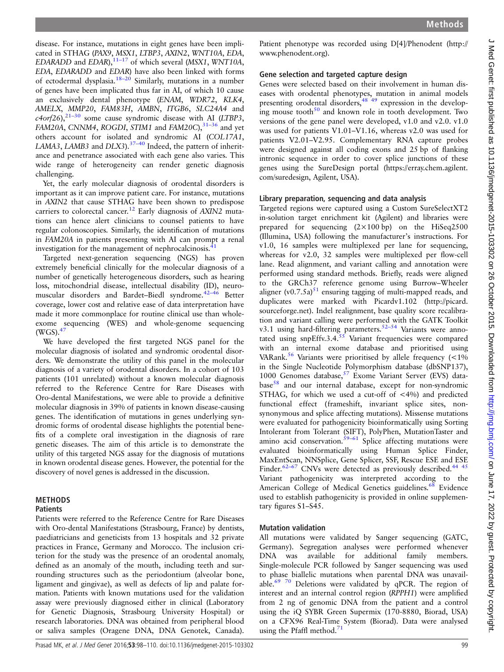disease. For instance, mutations in eight genes have been implicated in STHAG (PAX9, MSX1, LTBP3, AXIN2, WNT10A, EDA, EDARADD and EDAR), $11-17$  of which several (MSX1, WNT10A, EDA, EDARADD and EDAR) have also been linked with forms of ectodermal dysplasia.18–<sup>20</sup> Similarly, mutations in a number of genes have been implicated thus far in AI, of which 10 cause an exclusively dental phenotype (ENAM, WDR72, KLK4, AMELX, MMP20, FAM83H, AMBN, ITGB6, SLC24A4 and  $c4$ orf26), $21-30$  some cause syndromic disease with AI (LTBP3, FAM20A, CNNM4, ROGDI, STIM1 and FAM20C), $31-36$  and yet others account for isolated and syndromic AI (COL17A1, LAMA3, LAMB3 and DLX3). $37-40$  Indeed, the pattern of inheritance and penetrance associated with each gene also varies. This wide range of heterogeneity can render genetic diagnosis challenging.

Yet, the early molecular diagnosis of orodental disorders is important as it can improve patient care. For instance, mutations in AXIN2 that cause STHAG have been shown to predispose carriers to colorectal cancer.<sup>12</sup> Early diagnosis of  $AXIN2$  mutations can hence alert clinicians to counsel patients to have regular colonoscopies. Similarly, the identification of mutations in FAM20A in patients presenting with AI can prompt a renal investigation for the management of nephrocalcinosis.<sup>41</sup>

Targeted next-generation sequencing (NGS) has proven extremely beneficial clinically for the molecular diagnosis of a number of genetically heterogeneous disorders, such as hearing loss, mitochondrial disease, intellectual disability (ID), neuromuscular disorders and Bardet–Biedl syndrome.42–<sup>46</sup> Better coverage, lower cost and relative ease of data interpretation have made it more commonplace for routine clinical use than wholeexome sequencing (WES) and whole-genome sequencing  $(WGS)$ .<sup>47</sup>

We have developed the first targeted NGS panel for the molecular diagnosis of isolated and syndromic orodental disorders. We demonstrate the utility of this panel in the molecular diagnosis of a variety of orodental disorders. In a cohort of 103 patients (101 unrelated) without a known molecular diagnosis referred to the Reference Centre for Rare Diseases with Oro-dental Manifestations, we were able to provide a definitive molecular diagnosis in 39% of patients in known disease-causing genes. The identification of mutations in genes underlying syndromic forms of orodental disease highlights the potential benefits of a complete oral investigation in the diagnosis of rare genetic diseases. The aim of this article is to demonstrate the utility of this targeted NGS assay for the diagnosis of mutations in known orodental disease genes. However, the potential for the discovery of novel genes is addressed in the discussion.

# METHODS

**Patients** 

Patients were referred to the Reference Centre for Rare Diseases with Oro-dental Manifestations (Strasbourg, France) by dentists, paediatricians and geneticists from 13 hospitals and 32 private practices in France, Germany and Morocco. The inclusion criterion for the study was the presence of an orodental anomaly, defined as an anomaly of the mouth, including teeth and surrounding structures such as the periodontium (alveolar bone, ligament and gingivae), as well as defects of lip and palate formation. Patients with known mutations used for the validation assay were previously diagnosed either in clinical (Laboratory for Genetic Diagnosis, Strasbourg University Hospital) or research laboratories. DNA was obtained from peripheral blood or saliva samples (Oragene DNA, DNA Genotek, Canada).

Patient phenotype was recorded using D[4]/Phenodent ([http://](http://www.phenodent.org) [www.phenodent.org](http://www.phenodent.org)).

### Gene selection and targeted capture design

Genes were selected based on their involvement in human diseases with orodental phenotypes, mutation in animal models presenting orodental disorders,<sup>48 49</sup> expression in the developing mouse tooth $50$  and known role in tooth development. Two versions of the gene panel were developed, v1.0 and v2.0. v1.0 was used for patients V1.01–V1.16, whereas v2.0 was used for patients V2.01–V2.95. Complementary RNA capture probes were designed against all coding exons and 25 bp of flanking intronic sequence in order to cover splice junctions of these genes using the SureDesign portal [\(https://erray.chem.agilent.](https://erray.chem.agilent.com/suredesign) [com/suredesign](https://erray.chem.agilent.com/suredesign), Agilent, USA).

### Library preparation, sequencing and data analysis

Targeted regions were captured using a Custom SureSelectXT2 in-solution target enrichment kit (Agilent) and libraries were prepared for sequencing  $(2 \times 100 \text{ bp})$  on the HiSeq2500 (Illumina, USA) following the manufacturer's instructions. For v1.0, 16 samples were multiplexed per lane for sequencing, whereas for v2.0, 32 samples were multiplexed per flow-cell lane. Read alignment, and variant calling and annotation were performed using standard methods. Briefly, reads were aligned to the GRCh37 reference genome using Burrow–Wheeler aligner (v0.7.5a) $51$  ensuring tagging of multi-mapped reads, and duplicates were marked with Picardv1.102 [\(http://picard.](http://picard.sourceforge.net) [sourceforge.net](http://picard.sourceforge.net)). Indel realignment, base quality score recalibration and variant calling were performed with the GATK Toolkit v3.1 using hard-filtering parameters.<sup>52–54</sup> Variants were annotated using snpEffv.3.4. $55$  Variant frequencies were compared with an internal exome database and prioritised using VARank.<sup>56</sup> Variants were prioritised by allele frequency  $(<1\%$ in the Single Nucleotide Polymorphism database (dbSNP137), 1000 Genomes database,<sup>57</sup> Exome Variant Server (EVS) database<sup>58</sup> and our internal database, except for non-syndromic STHAG, for which we used a cut-off of <4%) and predicted functional effect (frameshift, invariant splice sites, nonsynonymous and splice affecting mutations). Missense mutations were evaluated for pathogenicity bioinformatically using Sorting Intolerant from Tolerant (SIFT), PolyPhen, MutationTaster and amino acid conservation.<sup>59–61</sup> Splice affecting mutations were evaluated bioinformatically using Human Splice Finder, MaxEntScan, NNSplice, Gene Splicer, SSF, Rescue ESE and ESE Finder. $62-67$  CNVs were detected as previously described.<sup>44 45</sup> Variant pathogenicity was interpreted according to the American College of Medical Genetics guidelines.<sup>68</sup> Evidence used to establish pathogenicity is provided in online supplementary figures S1–S45.

### Mutation validation

All mutations were validated by Sanger sequencing (GATC, Germany). Segregation analyses were performed whenever DNA was available for additional family members. Single-molecule PCR followed by Sanger sequencing was used to phase biallelic mutations when parental DNA was unavailable.<sup>69</sup> <sup>70</sup> Deletions were validated by qPCR. The region of interest and an internal control region (RPPH1) were amplified from 2 ng of genomic DNA from the patient and a control using the iQ SYBR Green Supermix (170-8880, Biorad, USA) on a CFX96 Real-Time System (Biorad). Data were analysed using the Pfaffl method. $71$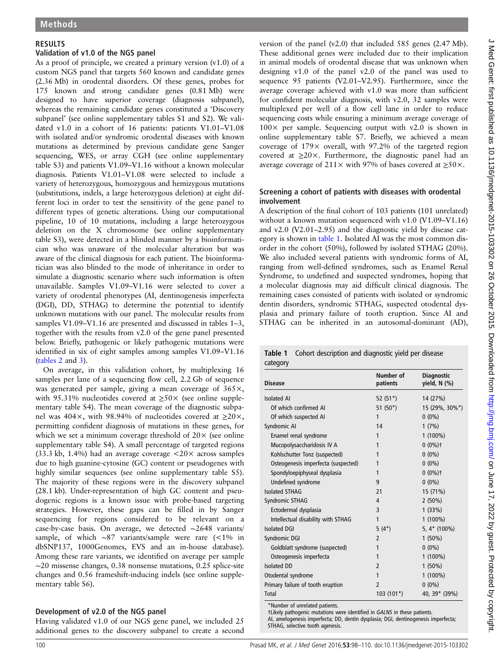#### RESULTS

#### Validation of v1.0 of the NGS panel

As a proof of principle, we created a primary version (v1.0) of a custom NGS panel that targets 560 known and candidate genes (2.36 Mb) in orodental disorders. Of these genes, probes for 175 known and strong candidate genes (0.81 Mb) were designed to have superior coverage (diagnosis subpanel), whereas the remaining candidate genes constituted a 'Discovery subpanel' (see online supplementary tables S1 and S2). We validated v1.0 in a cohort of 16 patients: patients V1.01–V1.08 with isolated and/or syndromic orodental diseases with known mutations as determined by previous candidate gene Sanger sequencing, WES, or array CGH (see online supplementary table S3) and patients V1.09–V1.16 without a known molecular diagnosis. Patients V1.01–V1.08 were selected to include a variety of heterozygous, homozygous and hemizygous mutations (substitutions, indels, a large heterozygous deletion) at eight different loci in order to test the sensitivity of the gene panel to different types of genetic alterations. Using our computational pipeline, 10 of 10 mutations, including a large heterozygous deletion on the X chromosome (see online supplementary table S3), were detected in a blinded manner by a bioinformatician who was unaware of the molecular alteration but was aware of the clinical diagnosis for each patient. The bioinformatician was also blinded to the mode of inheritance in order to simulate a diagnostic scenario where such information is often unavailable. Samples V1.09–V1.16 were selected to cover a variety of orodental phenotypes (AI, dentinogenesis imperfecta (DGI), DD, STHAG) to determine the potential to identify unknown mutations with our panel. The molecular results from samples V1.09–V1.16 are presented and discussed in tables 1–3, together with the results from v2.0 of the gene panel presented below. Briefly, pathogenic or likely pathogenic mutations were identified in six of eight samples among samples V1.09-V1.16 (tables 2 and 3).

On average, in this validation cohort, by multiplexing 16 samples per lane of a sequencing flow cell, 2.2 Gb of sequence was generated per sample, giving a mean coverage of  $365\times$ , with 95.31% nucleotides covered at  $\geq 50 \times$  (see online supplementary table S4). The mean coverage of the diagnostic subpanel was 404 $\times$ , with 98.94% of nucleotides covered at  $\geq 20 \times$ , permitting confident diagnosis of mutations in these genes, for which we set a minimum coverage threshold of  $20 \times$  (see online supplementary table S4). A small percentage of targeted regions (33.3 kb, 1.4%) had an average coverage  $\langle 20 \times \text{across samples} \rangle$ due to high guanine-cytosine (GC) content or pseudogenes with highly similar sequences (see online supplementary table S5). The majority of these regions were in the discovery subpanel (28.1 kb). Under-representation of high GC content and pseudogenic regions is a known issue with probe-based targeting strategies. However, these gaps can be filled in by Sanger sequencing for regions considered to be relevant on a case-by-case basis. On average, we detected ∼2648 variants/ sample, of which ∼87 variants/sample were rare (<1% in dbSNP137, 1000Genomes, EVS and an in-house database). Among these rare variants, we identified on average per sample ∼20 missense changes, 0.38 nonsense mutations, 0.25 splice-site changes and 0.56 frameshift-inducing indels (see online supplementary table S6).

### Development of v2.0 of the NGS panel

Having validated v1.0 of our NGS gene panel, we included 25 additional genes to the discovery subpanel to create a second

version of the panel (v2.0) that included 585 genes (2.47 Mb). These additional genes were included due to their implication in animal models of orodental disease that was unknown when designing v1.0 of the panel v2.0 of the panel was used to sequence 95 patients (V2.01–V2.95). Furthermore, since the average coverage achieved with v1.0 was more than sufficient for confident molecular diagnosis, with v2.0, 32 samples were multiplexed per well of a flow cell lane in order to reduce sequencing costs while ensuring a minimum average coverage of  $100\times$  per sample. Sequencing output with v2.0 is shown in online supplementary table S7. Briefly, we achieved a mean coverage of 179× overall, with 97.2% of the targeted region covered at  $\geq$ 20×. Furthermore, the diagnostic panel had an average coverage of 211 $\times$  with 97% of bases covered at  $\geq$ 50 $\times$ .

#### Screening a cohort of patients with diseases with orodental involvement

A description of the final cohort of 103 patients (101 unrelated) without a known mutation sequenced with v1.0 (V1.09–V1.16) and v2.0 (V2.01–2.95) and the diagnostic yield by disease category is shown in table 1. Isolated AI was the most common disorder in the cohort (50%), followed by isolated STHAG (20%). We also included several patients with syndromic forms of AI, ranging from well-defined syndromes, such as Enamel Renal Syndrome, to undefined and suspected syndromes, hoping that a molecular diagnosis may aid difficult clinical diagnosis. The remaining cases consisted of patients with isolated or syndromic dentin disorders, syndromic STHAG, suspected otodental dysplasia and primary failure of tooth eruption. Since AI and STHAG can be inherited in an autosomal-dominant (AD),

Table 1 Cohort description and diagnostic yield per disease category

| <b>Disease</b>                      | Number of<br>patients | <b>Diagnostic</b><br>yield, N (%) |
|-------------------------------------|-----------------------|-----------------------------------|
| <b>Isolated AI</b>                  | 52 $(51*)$            | 14 (27%)                          |
| Of which confirmed AI               | $51(50*)$             | 15 (29%, 30%*)                    |
| Of which suspected AI               | 1                     | $0(0\%)$                          |
| Syndromic AI                        | 14                    | 1(7%)                             |
| Enamel renal syndrome               | 1                     | $1(100\%)$                        |
| Mucopolysaccharidosis IV A          | 1                     | $0(0\%)$ †                        |
| Kohlschutter Tonz (suspected)       | 1                     | $0(0\%)$                          |
| Osteogenesis imperfecta (suspected) | 1                     | $0(0\%)$                          |
| Spondyloepiphyseal dysplasia        | 1                     | $0(0\%)$ †                        |
| Undefined syndrome                  | 9                     | $0(0\%)$                          |
| <b>Isolated STHAG</b>               | 21                    | 15 (71%)                          |
| Syndromic STHAG                     | 4                     | $2(50\%)$                         |
| Ectodermal dysplasia                | 3                     | 1(33%)                            |
| Intellectual disability with STHAG  | 1                     | $1(100\%)$                        |
| <b>Isolated DGI</b>                 | $5(4*)$               | 5, $4*$ (100%)                    |
| Syndromic DGI                       | 2                     | $1(50\%)$                         |
| Goldblatt syndrome (suspected)      | 1                     | $0(0\%)$                          |
| Osteogenesis imperfecta             | 1                     | $1(100\%)$                        |
| <b>Isolated DD</b>                  | $\overline{2}$        | $1(50\%)$                         |
| Otodental syndrome                  | 1                     | $1(100\%)$                        |
| Primary failure of tooth eruption   | 2                     | $0(0\%)$                          |
| <b>Total</b>                        | $103(101*)$           | 40, 39* (39%)                     |

\*Number of unrelated patients.

†Likely pathogenic mutations were identified in GALNS in these patients.

AI, amelogenesis imperfecta; DD, dentin dysplasia; DGI, dentinogenesis imperfecta; STHAG, selective tooth agenesis.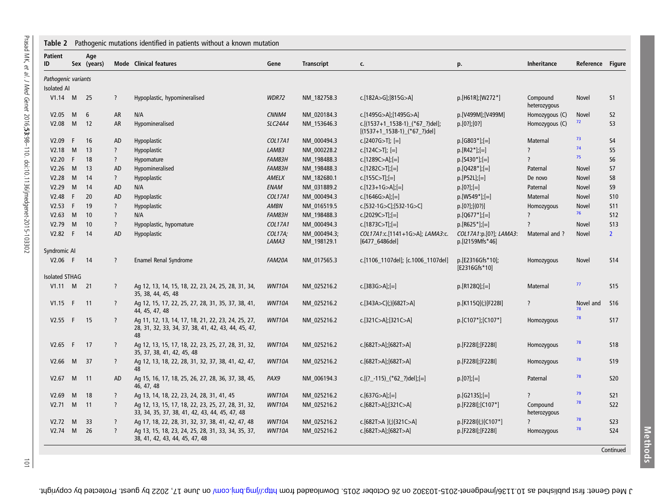| Table 2               |              |                    |                          | Pathogenic mutations identified in patients without a known mutation                                            |                  |                             |                                                                    |                                           |                          |                  |                 |
|-----------------------|--------------|--------------------|--------------------------|-----------------------------------------------------------------------------------------------------------------|------------------|-----------------------------|--------------------------------------------------------------------|-------------------------------------------|--------------------------|------------------|-----------------|
| <b>Patient</b><br>ID  |              | Age<br>Sex (years) |                          | <b>Mode</b> Clinical features                                                                                   | Gene             | <b>Transcript</b>           | c.                                                                 | p.                                        | <b>Inheritance</b>       | Reference Figure |                 |
| Pathogenic variants   |              |                    |                          |                                                                                                                 |                  |                             |                                                                    |                                           |                          |                  |                 |
| <b>Isolated AI</b>    |              |                    |                          |                                                                                                                 |                  |                             |                                                                    |                                           |                          |                  |                 |
| V1.14 M 25            |              |                    | $\overline{\cdot}$       | Hypoplastic, hypomineralised                                                                                    | WDR72            | NM_182758.3                 | c.[182A>G];[815G>A]                                                | p.[H61R];[W272*]                          | Compound<br>heterozygous | Novel            | S <sub>1</sub>  |
| V2.05                 | M            | 6                  | AR                       | N/A                                                                                                             | CNNM4            | NM_020184.3                 | c.[1495G>A];[1495G>A]                                              | p.[V499M];[V499M]                         | Homozygous (C)           | <b>Novel</b>     | S <sub>2</sub>  |
| V2.08                 | M            | 12                 | AR                       | Hypomineralised                                                                                                 | <b>SLC24A4</b>   | NM 153646.3                 | c.[(1537+1_1538-1)_(*67_?)del];<br>$[(1537+1_1538-1)]$ (*67 ?)del] | p.[0?],[0?]                               | Homozygous (C)           | 72               | S <sub>3</sub>  |
| V2.09                 | F            | 16                 | AD                       | Hypoplastic                                                                                                     | COL17A1          | NM_000494.3                 | c.[2407G>T]; $[=]$                                                 | $p.[G803*]$ ; [=]                         | Maternal                 | 73               | S <sub>4</sub>  |
| V2.18                 | M            | 13                 | $\overline{\cdot}$       | Hypoplastic                                                                                                     | LAMB3            | NM_000228.2                 | c.[124C>T]; $[=]$                                                  | $p.[R42^*];[=]$                           | $\overline{\phantom{a}}$ | 74               | S <sub>5</sub>  |
| V2.20                 | F            | 18                 | $\overline{\cdot}$       | Hypomature                                                                                                      | FAM83H           | NM_198488.3                 | c.[1289C>A];[=]                                                    | $p.[5430*]$ ; [=]                         | $\overline{\phantom{a}}$ | 75               | S6              |
| V2.26                 | M            | 13                 | AD                       | Hypomineralised                                                                                                 | FAM83H           | NM_198488.3                 | c.[1282C>T];[=]                                                    | $p.[Q428^*][=]$                           | Paternal                 | <b>Novel</b>     | S7              |
| V2.28                 | M            | 14                 | $\overline{?}$           | Hypoplastic                                                                                                     | AMELX            | NM 182680.1                 | $c.[155C>TI;[=]$                                                   | $p.[P52L]$ ; $[=]$                        | De novo                  | Novel            | S8              |
| V2.29                 | M            | 14                 | AD                       | N/A                                                                                                             | <b>ENAM</b>      | NM_031889.2                 | c.[123+1G>A];[=]                                                   | $p.[0?]$ ; [=]                            | Paternal                 | Novel            | S9              |
| V2.48                 | F            | 20                 | AD                       | Hypoplastic                                                                                                     | <b>COL17A1</b>   | NM_000494.3                 | c.[1646G>A];[=]                                                    | $p.[W549*]$ ; [=]                         | Maternal                 | <b>Novel</b>     | <b>S10</b>      |
| V2.53                 | $\mathsf{F}$ | 19                 | $\overline{?}$           | Hypoplastic                                                                                                     | <b>AMBN</b>      | NM 016519.5                 | c.[532-1G>C];[532-1G>C]                                            | p.[0?];[(0?)]                             | Homozygous               | <b>Novel</b>     | <b>S11</b>      |
| V2.63                 | M            | 10                 | $\overline{\cdot}$       | N/A                                                                                                             | <b>FAM83H</b>    | NM_198488.3                 | c.[2029C>T];[=]                                                    | $p.[Q677*]$ ; $[=]$                       | $\overline{?}$           | 76               | <b>S12</b>      |
| V2.79                 | M            | 10                 | $\overline{\mathbf{?}}$  | Hypoplastic, hypomature                                                                                         | <b>COL17A1</b>   | NM_000494.3                 | c.[1873C>T];[=]                                                    | $p.[R625*][=]$                            | $\overline{?}$           | Novel            | <b>S13</b>      |
| V2.82                 | $\mathsf{F}$ | 14                 | AD                       | Hypoplastic                                                                                                     | COL17A;<br>LAMA3 | NM_000494.3;<br>NM_198129.1 | COL17A1:c.[1141+1G>A]; LAMA3:c.<br>$[6477]$ 6486del]               | COL17A1:p.[0?]; LAMA3:<br>p.[12159Mfs*46] | Maternal and ?           | Novel            | $\overline{2}$  |
| Syndromic Al          |              |                    |                          |                                                                                                                 |                  |                             |                                                                    |                                           |                          |                  |                 |
| $V2.06$ F             |              | 14                 | $\overline{?}$           | <b>Enamel Renal Syndrome</b>                                                                                    | FAM20A           | NM 017565.3                 | c.[1106_1107del]; [c.1006_1107del]                                 | p.[E2316Gfs*10];<br>[E2316Gfs*10]         | Homozygous               | <b>Novel</b>     | <b>S14</b>      |
| <b>Isolated STHAG</b> |              |                    |                          |                                                                                                                 |                  |                             |                                                                    |                                           |                          |                  |                 |
| $V1.11 \t M \t 21$    |              |                    | $\overline{\cdot}$       | Ag 12, 13, 14, 15, 18, 22, 23, 24, 25, 28, 31, 34,<br>35, 38, 44, 45, 48                                        | WNT10A           | NM 025216.2                 | c.[383G>A];[=]                                                     | $p.[R128Q][=]$                            | Maternal                 | 77               | <b>S15</b>      |
| V1.15                 | F            | 11                 | $\overline{\cdot}$       | Ag 12, 15, 17, 22, 25, 27, 28, 31, 35, 37, 38, 41,<br>44, 45, 47, 48                                            | WNT10A           | NM 025216.2                 | c.[343A>C](;)[682T>A]                                              | p.[K115Q](;)[F228I]                       | $\overline{?}$           | Novel and        | S <sub>16</sub> |
| V2.55 F               |              | 15                 | $\overline{?}$           | Ag 11, 12, 13, 14, 17, 18, 21, 22, 23, 24, 25, 27,<br>28, 31, 32, 33, 34, 37, 38, 41, 42, 43, 44, 45, 47,<br>48 | WNT10A           | NM 025216.2                 | c.[321C>A];[321C>A]                                                | p.[C107*];[C107*]                         | Homozygous               | 78               | <b>S17</b>      |
| V2.65 F               |              | 17                 | $\overline{\mathcal{L}}$ | Ag 12, 13, 15, 17, 18, 22, 23, 25, 27, 28, 31, 32,<br>35, 37, 38, 41, 42, 45, 48                                | WNT10A           | NM_025216.2                 | c.[682T>A];[682T>A]                                                | p.[F228I];[F228I]                         | Homozygous               | 78               | <b>S18</b>      |
| V2.66                 | M            | 37                 | $\overline{\mathcal{E}}$ | Ag 12, 13, 18, 22, 28, 31, 32, 37, 38, 41, 42, 47,<br>48                                                        | WNT10A           | NM_025216.2                 | c.[682T>A];[682T>A]                                                | p.[F228I];[F228I]                         | Homozygous               | 78               | <b>S19</b>      |
| $V2.67$ M             |              | 11                 | AD                       | Ag 15, 16, 17, 18, 25, 26, 27, 28, 36, 37, 38, 45,<br>46, 47, 48                                                | PAX9             | NM_006194.3                 | c.[(?_-115)_(*62_?)del];[=]                                        | $p.[0?],[=]$                              | Paternal                 | 78               | <b>S20</b>      |
| V2.69                 | M            | 18                 | $\overline{\mathbf{?}}$  | Ag 13, 14, 18, 22, 23, 24, 28, 31, 41, 45                                                                       | WNT10A           | NM_025216.2                 | c.[637G>A];[=]                                                     | $p.[G2135][=]$                            | $\overline{?}$           | 79               | <b>S21</b>      |
| V2.71                 | M            | 11                 | $\overline{?}$           | Ag 12, 13, 15, 17, 18, 22, 23, 25, 27, 28, 31, 32,<br>33, 34, 35, 37, 38, 41, 42, 43, 44, 45, 47, 48            | WNT10A           | NM 025216.2                 | c.[682T>A];[321C>A]                                                | p.[F228I];[C107*]                         | Compound<br>heterozygous | 78               | <b>S22</b>      |
| $V2.72 \quad M$       |              | 33                 | $\overline{\cdot}$       | Ag 17, 18, 22, 28, 31, 32, 37, 38, 41, 42, 47, 48                                                               | WNT10A           | NM_025216.2                 | c.[682T>A](;)[321C>A]                                              | p.[F228I](;)[C107*]                       |                          | 78               | <b>S23</b>      |
| $V2.74$ M             |              | 26                 | $\overline{?}$           | Ag 13, 15, 18, 23, 24, 25, 28, 31, 33, 34, 35, 37,<br>38, 41, 42, 43, 44, 45, 47, 48                            | WNT10A           | NM_025216.2                 | c.[682T>A];[682T>A]                                                | p.[F228I];[F228I]                         | Homozygous               | 78               | <b>S24</b>      |
|                       |              |                    |                          |                                                                                                                 |                  |                             |                                                                    |                                           |                          |                  | Continued       |

 $\overline{a}$ 

J Med Genet: first published as 10.113619millos-tom 20.000 by Denet 2015. Downloaded from Jund. Jume 10.12 aug. Zubed by guest. Protected by copyright.

Methods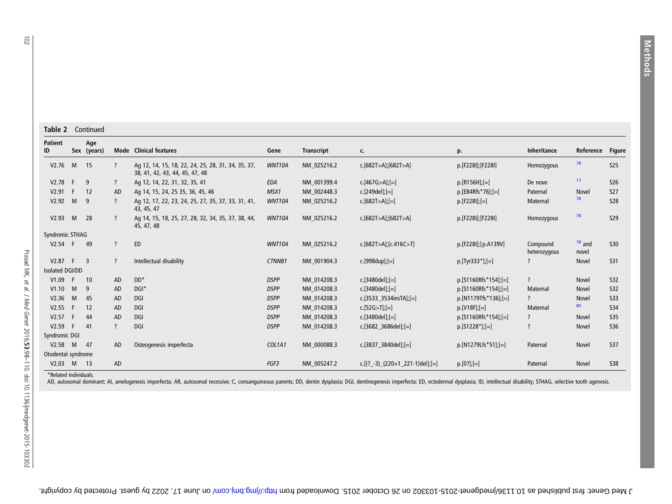| <b>Patient</b>     |      | Age                      |                          |                                                                                      |               |                   |                                 |                       |                          |                   |               |
|--------------------|------|--------------------------|--------------------------|--------------------------------------------------------------------------------------|---------------|-------------------|---------------------------------|-----------------------|--------------------------|-------------------|---------------|
| ID                 |      | Sex (years)              |                          | <b>Mode</b> Clinical features                                                        | Gene          | <b>Transcript</b> | C.                              | p.                    | Inheritance              | Reference         | <b>Figure</b> |
| V2.76              | M    | 15                       | ?                        | Ag 12, 14, 15, 18, 22, 24, 25, 28, 31, 34, 35, 37,<br>38, 41, 42, 43, 44, 45, 47, 48 | WNT10A        | NM 025216.2       | c.[682T>A];[682T>A]             | p.[F228I];[F228I]     | Homozygous               | 78                | 525           |
| V2.78              | -F   | 9                        | $\overline{?}$           | Ag 12, 14, 22, 31, 32, 35, 41                                                        | EDA           | NM 001399.4       | c.[467G>A];[=]                  | $p.[R156H][=]$        | De novo                  | 17                | <b>S26</b>    |
| V2.91              | F    | 12                       | AD                       | Ag 14, 15, 24, 25 35, 36, 45, 46                                                     | MSX1          | NM 002448.3       | c.[249del];[=]                  | $p.[E84Rfs*76][=]$    | Paternal                 | Novel             | <b>S27</b>    |
| V2.92              | M    | 9                        | $\overline{?}$           | Ag 12, 17, 22, 23, 24, 25, 27, 35, 37, 33, 31, 41,<br>43, 45, 47                     | WNT10A        | NM 025216.2       | $c.[682T>A][=]$                 | $p.[F2281]$ ; $[=]$   | Maternal                 | 78                | <b>S28</b>    |
| V2.93              | M    | 28                       | $\overline{?}$           | Ag 14, 15, 18, 25, 27, 28, 32, 34, 35, 37, 38, 44,<br>45, 47, 48                     | WNT10A        | NM 025216.2       | c.[682T>A];[682T>A]             | p.[F228I];[F228I]     | Homozygous               | 78                | <b>S29</b>    |
| Syndromic STHAG    |      |                          |                          |                                                                                      |               |                   |                                 |                       |                          |                   |               |
| V2.54              | F    | 49                       | $\overline{\phantom{0}}$ | ED                                                                                   | WNT10A        | NM 025216.2       | c.[682T>A];[c.416C>T]           | p.[F228I];[p.A139V]   | Compound<br>heterozygous | $18$ and<br>novel | S30           |
| V2.87              | F.   | $\overline{\phantom{a}}$ | $\overline{?}$           | Intellectual disability                                                              | <b>CTNNB1</b> | NM 001904.3       | c.[998dup];[=]                  | $p.[Tyr333*]$ ; $[=]$ | $\overline{?}$           | Novel             | <b>S31</b>    |
| Isolated DGI/DD    |      |                          |                          |                                                                                      |               |                   |                                 |                       |                          |                   |               |
| V1.09              | F    | 10                       | AD                       | $DD*$                                                                                | <b>DSPP</b>   | NM 014208.3       | c.[3480del];[=]                 | $p.[S1160Rfs*154][=]$ | $\overline{?}$           | Novel             | <b>S32</b>    |
| V1.10              | M    | 9                        | AD                       | $DGI^*$                                                                              | <b>DSPP</b>   | NM 014208.3       | c.[3480del];[=]                 | $p.[S1160Rfs*154][=]$ | Maternal                 | <b>Novel</b>      | <b>S32</b>    |
| V2.36              | M    | 45                       | AD                       | DGI                                                                                  | <b>DSPP</b>   | NM 014208.3       | c.[3533 3534insTA];[=]          | $p.[N1179Tfs*136]=[$  | $\overline{?}$           | Novel             | <b>S33</b>    |
| V2.55              | -F   | 12                       | AD                       | DGI                                                                                  | <b>DSPP</b>   | NM 014208.3       | $c.[52G>T][=]$                  | $p.[V18F],[=]$        | Maternal                 | 80                | <b>S34</b>    |
| V2.57              | F    | 44                       | AD                       | DGI                                                                                  | <b>DSPP</b>   | NM 014208.3       | c.[3480del];[=]                 | $p.[51160Rfs*154][=]$ | $\overline{?}$           | Novel             | <b>S35</b>    |
| V2.59              | F    | 41                       | 7                        | DGI                                                                                  | <b>DSPP</b>   | NM 014208.3       | c.[3682 3686del];[=]            | $p.[51228*][=]$       | $\overline{\phantom{0}}$ | <b>Novel</b>      | <b>S36</b>    |
| Syndromic DGI      |      |                          |                          |                                                                                      |               |                   |                                 |                       |                          |                   |               |
| V2.58              | M    | 47                       | AD                       | Osteogenesis imperfecta                                                              | COL1A1        | NM 000088.3       | c.[3837 3840del];[=]            | p.[N1279Lfs*51];[=]   | Paternal                 | <b>Novel</b>      | <b>S37</b>    |
| Otodental syndrome |      |                          |                          |                                                                                      |               |                   |                                 |                       |                          |                   |               |
| V2.03              | M 13 |                          | AD                       |                                                                                      | FGF3          | NM 005247.2       | c.[(?_-3)_(220+1_221-1)del];[=] | $p.[0?][=]$           | Paternal                 | <b>Novel</b>      | <b>S38</b>    |

\*Related individuals.

AD, autosomal dominant; AI, amelogenesis imperfecta; AR, autosomal recessive; C, consanguineous parents; DD, dentin dysplasia; DGI, dentinogenesis imperfecta; ED, ectodermal dysplasia; ID, intellectual disability; STHAG, s

J Med Genet: first published as 10.113619millos-tom 20.000 by Denet 2015. Downloaded from Jund. Jume 10.12 aug. Zubed by guest. Protected by copyright.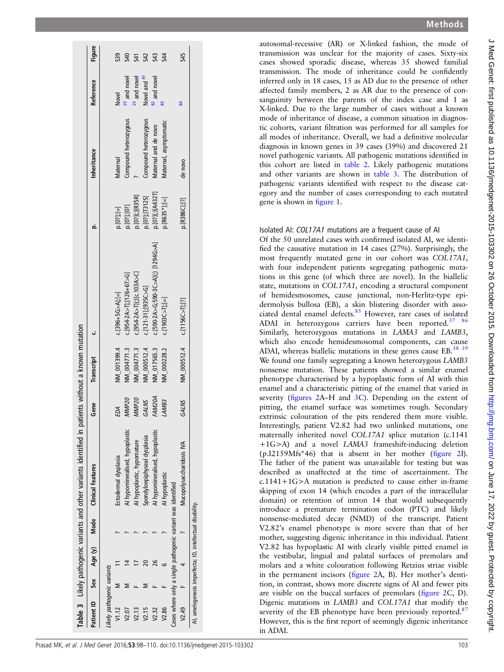|                           |                                                             | Table 3 Likely pathogenic variants and other variants identified in patients without a known mutation |                   |                                  |                                    |                        |                        |                         |            |
|---------------------------|-------------------------------------------------------------|-------------------------------------------------------------------------------------------------------|-------------------|----------------------------------|------------------------------------|------------------------|------------------------|-------------------------|------------|
|                           |                                                             | Patient ID Sex Age (y) Mode Clinical features                                                         | Gene              | Transcript                       |                                    | o                      | <b>Inheritance</b>     | Reference               | Figure     |
| ikely pathogenic variants |                                                             |                                                                                                       |                   |                                  |                                    |                        |                        |                         |            |
| V1.12                     |                                                             | Ectodermal dysplasia                                                                                  | EDA               | NM_001399.4                      | $c.[396+5G > A][=]$                | $p.[0?]; [=\]$         | Maternal               | Novel                   | 539        |
| V2.07                     |                                                             | AI hypomineralised, hypoplastic                                                                       | MMP <sub>20</sub> | NM_004771.3                      | $c.[954-2A>7]$ ;[126+6T>G]         | 0.[07];[07]            | Compound heterozygous  | <sup>25</sup> and novel | 540        |
| V2.13                     |                                                             | AI hypoplastic, hypomature                                                                            | MMP <sub>20</sub> | NM_004771.3                      | c.[954-2A>T](;)[c.103A>C]          | $. [0 ?]$ (;) $[R35R]$ |                        | <sup>25</sup> and novel | 541        |
| V2.15                     |                                                             | Spondyloepiphyseal dysplasia                                                                          | GALNS             | NM_000512.4                      | $c.[121-31]$ ;[935 $C>G$ ]         | [02][13125]            | Compound heterozygous  | Novel and 87            | 542        |
| V2.32                     | 26                                                          | Al hypomineralised, hypoplastic                                                                       | <b>FAM20A</b>     | NM_017565.3                      | c.[590-2A>G;590-3C>A](;) [1294G>A] | p.[0?](;)[A432T]       | Maternal and de novo   | 82 and novel            | S43        |
| V2.86                     |                                                             | AI hypoplastic                                                                                        | LAMB3             | NM_000228.2                      | $c.[1903C>T][=]$                   | $0.$ [R635*];[=]       | Maternal, asymptomatic | 83                      | <b>S44</b> |
|                           | Cases where only a single pathogenic variant was identified |                                                                                                       |                   |                                  |                                    |                        |                        |                         |            |
|                           |                                                             | V2.49 F 4 7 Mucopolysaccharidosis IVA                                                                 | GALNS             | $NN_{.000512.4}$ c.[1156C>T];[?] |                                    | p.[R386C];[?]          | de novo                |                         | <b>S45</b> |
|                           | AI, amelogenesis imperfecta; ID, intellectual disability.   |                                                                                                       |                   |                                  |                                    |                        |                        |                         |            |
|                           |                                                             |                                                                                                       |                   |                                  |                                    |                        |                        |                         |            |

autosomal-recessive (AR) or X-linked fashion, the mode of transmission was unclear for the majority of cases. Sixty-six cases showed sporadic disease, whereas 35 showed familial transmission. The mode of inheritance could be confidently inferred only in 18 cases, 15 as AD due to the presence of other affected family members, 2 as AR due to the presence of consanguinity between the parents of the index case and 1 as X-linked. Due to the large number of cases without a known mode of inheritance of disease, a common situation in diagnostic cohorts, variant filtration was performed for all samples for all modes of inheritance. Overall, we had a definitive molecular diagnosis in known genes in 39 cases (39%) and discovered 21 novel pathogenic variants. All pathogenic mutations identified in this cohort are listed in table 2. Likely pathogenic mutations and other variants are shown in table 3. The distribution of pathogenic variants identified with respect to the disease category and the number of cases corresponding to each mutated gene is shown in figure 1.

## Isolated AI: COL17A1 mutations are a frequent cause of AI

Of the 50 unrelated cases with confirmed isolated AI, we identified the causative mutation in 14 cases (27%). Surprisingly, the most frequently mutated gene in our cohort was COL17A1, with four independent patients segregating pathogenic mutations in this gene (of which three are novel). In the biallelic state, mutations in COL17A1, encoding a structural component of hemidesmosomes, cause junctional, non-Herlitz-type epidermolysis bullosa (EB), a skin blistering disorder with associated dental enamel defects.<sup>85</sup> However, rare cases of isolated ADAI in heterozygous carriers have been reported.<sup>37</sup> Similarly, heterozygous mutations in LAMA3 and LAMB3, which also encode hemidesmosomal components, can cause ADAI, whereas biallelic mutations in these genes cause EB.<sup>38</sup> <sup>39</sup> We found one family segregating a known heterozygous LAMB3 nonsense mutation. These patients showed a similar enamel phenotype characterised by a hypoplastic form of AI with thin enamel and a characteristic pitting of the enamel that varied in severity (figures 2A–H and 3C). Depending on the extent of pitting, the enamel surface was sometimes rough. Secondary extrinsic colouration of the pits rendered them more visible. Interestingly, patient V2.82 had two unlinked mutations, one maternally inherited novel COL17A1 splice mutation (c.1141 +1G>A) and a novel LAMA3 frameshift-inducing deletion (p.I2159Mfs\*46) that is absent in her mother (figure 2I). The father of the patient was unavailable for testing but was described as unaffected at the time of ascertainment. The c.1141+1G>A mutation is predicted to cause either in-frame skipping of exon 14 (which encodes a part of the intracellular domain) or retention of intron 14 that would subsequently introduce a premature termination codon (PTC) and likely nonsense-mediated decay (NMD) of the transcript. Patient V2.82's enamel phenotype is more severe than that of her mother, suggesting digenic inheritance in this individual. Patient V2.82 has hypoplastic AI with clearly visible pitted enamel in the vestibular, lingual and palatal surfaces of premolars and molars and a white colouration following Retzius striae visible in the permanent incisors (figure 2A, B). Her mother's dentition, in contrast, shows more discrete signs of AI and fewer pits are visible on the buccal surfaces of premolars (figure 2C, D). Digenic mutations in LAMB3 and COL17A1 that modify the severity of the EB phenotype have been previously reported.<sup>87</sup> However, this is the first report of seemingly digenic inheritance in ADAI.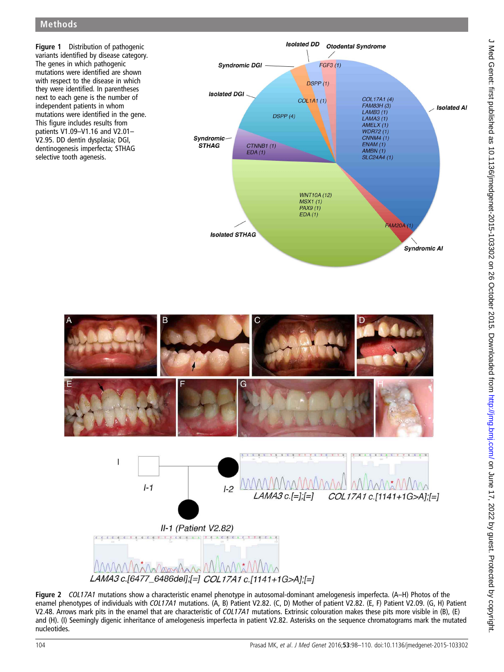# Methods



Figure 2 COL17A1 mutations show a characteristic enamel phenotype in autosomal-dominant amelogenesis imperfecta. (A–H) Photos of the enamel phenotypes of individuals with COL17A1 mutations. (A, B) Patient V2.82. (C, D) Mother of patient V2.82. (E, F) Patient V2.09. (G, H) Patient V2.48. Arrows mark pits in the enamel that are characteristic of COL17A1 mutations. Extrinsic colouration makes these pits more visible in (B), (E) and (H). (I) Seemingly digenic inheritance of amelogenesis imperfecta in patient V2.82. Asterisks on the sequence chromatograms mark the mutated nucleotides.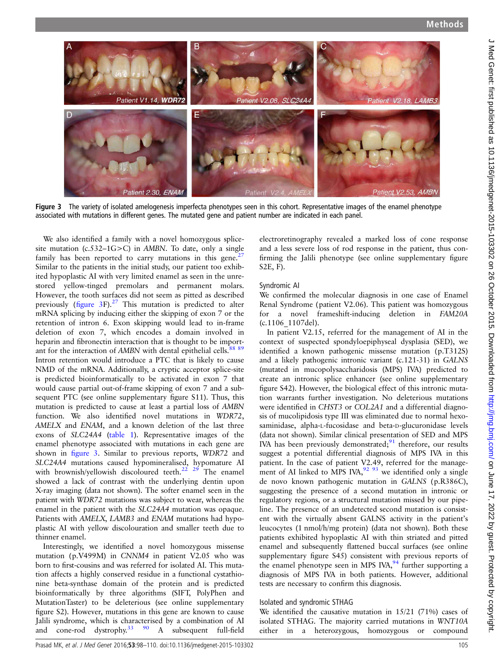

Figure 3 The variety of isolated amelogenesis imperfecta phenotypes seen in this cohort. Representative images of the enamel phenotype associated with mutations in different genes. The mutated gene and patient number are indicated in each panel.

We also identified a family with a novel homozygous splicesite mutation  $(c.532-1G>C)$  in AMBN. To date, only a single family has been reported to carry mutations in this gene.<sup>27</sup> Similar to the patients in the initial study, our patient too exhibited hypoplastic AI with very limited enamel as seen in the unrestored yellow-tinged premolars and permanent molars. However, the tooth surfaces did not seem as pitted as described previously (figure 3F).<sup>27</sup> This mutation is predicted to alter mRNA splicing by inducing either the skipping of exon 7 or the retention of intron 6. Exon skipping would lead to in-frame deletion of exon 7, which encodes a domain involved in heparin and fibronectin interaction that is thought to be important for the interaction of AMBN with dental epithelial cells.<sup>88 89</sup> Intron retention would introduce a PTC that is likely to cause NMD of the mRNA. Additionally, a cryptic acceptor splice-site is predicted bioinformatically to be activated in exon 7 that would cause partial out-of-frame skipping of exon 7 and a subsequent PTC (see online supplementary figure S11). Thus, this mutation is predicted to cause at least a partial loss of AMBN function. We also identified novel mutations in WDR72, AMELX and ENAM, and a known deletion of the last three exons of SLC24A4 (table 1). Representative images of the enamel phenotype associated with mutations in each gene are shown in figure 3. Similar to previous reports, WDR72 and SLC24A4 mutations caused hypomineralised, hypomature AI with brownish/yellowish discoloured teeth.<sup>22 29</sup> The enamel showed a lack of contrast with the underlying dentin upon X-ray imaging (data not shown). The softer enamel seen in the patient with WDR72 mutations was subject to wear, whereas the enamel in the patient with the SLC24A4 mutation was opaque. Patients with AMELX, LAMB3 and ENAM mutations had hypoplastic AI with yellow discolouration and smaller teeth due to thinner enamel.

Interestingly, we identified a novel homozygous missense mutation (p.V499M) in CNNM4 in patient V2.05 who was born to first-cousins and was referred for isolated AI. This mutation affects a highly conserved residue in a functional cystathionine beta-synthase domain of the protein and is predicted bioinformatically by three algorithms (SIFT, PolyPhen and MutationTaster) to be deleterious (see online supplementary figure S2). However, mutations in this gene are known to cause Jalili syndrome, which is characterised by a combination of AI and cone-rod dystrophy.<sup>33</sup>  $90$  A subsequent full-field

electroretinography revealed a marked loss of cone response and a less severe loss of rod response in the patient, thus confirming the Jalili phenotype (see online supplementary figure S2E, F).

#### Syndromic AI

We confirmed the molecular diagnosis in one case of Enamel Renal Syndrome (patient V2.06). This patient was homozygous for a novel frameshift-inducing deletion in FAM20A (c.1106\_1107del).

In patient V2.15, referred for the management of AI in the context of suspected spondyloepiphyseal dysplasia (SED), we identified a known pathogenic missense mutation (p.T312S) and a likely pathogenic intronic variant (c.121-31) in GALNS (mutated in mucopolysaccharidosis (MPS) IVA) predicted to create an intronic splice enhancer (see online supplementary figure S42). However, the biological effect of this intronic mutation warrants further investigation. No deleterious mutations were identified in CHST3 or COL2A1 and a differential diagnosis of mucolipidosis type III was eliminated due to normal hexosaminidase, alpha-L-fucosidase and beta-D-glucuronidase levels (data not shown). Similar clinical presentation of SED and MPS IVA has been previously demonstrated; $91$  therefore, our results suggest a potential differential diagnosis of MPS IVA in this patient. In the case of patient V2.49, referred for the management of AI linked to MPS IVA,  $92\frac{93}{9}$  we identified only a single de novo known pathogenic mutation in GALNS (p.R386C), suggesting the presence of a second mutation in intronic or regulatory regions, or a structural mutation missed by our pipeline. The presence of an undetected second mutation is consistent with the virtually absent GALNS activity in the patient's leucocytes (1 nmol/h/mg protein) (data not shown). Both these patients exhibited hypoplastic AI with thin striated and pitted enamel and subsequently flattened buccal surfaces (see online supplementary figure S45) consistent with previous reports of the enamel phenotype seen in MPS IVA, $94$  further supporting a diagnosis of MPS IVA in both patients. However, additional tests are necessary to confirm this diagnosis.

#### Isolated and syndromic STHAG

We identified the causative mutation in 15/21 (71%) cases of isolated STHAG. The majority carried mutations in WNT10A either in a heterozygous, homozygous or compound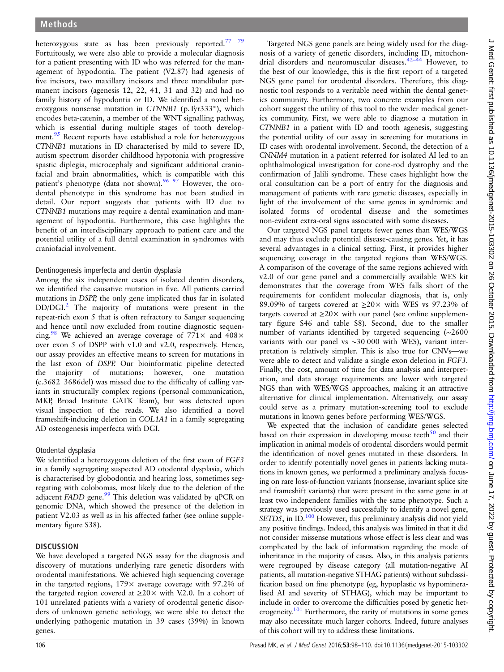heterozygous state as has been previously reported.<sup>77</sup> <sup>79</sup> Fortuitously, we were also able to provide a molecular diagnosis for a patient presenting with ID who was referred for the management of hypodontia. The patient (V2.87) had agenesis of five incisors, two maxillary incisors and three mandibular permanent incisors (agenesis 12, 22, 41, 31 and 32) and had no family history of hypodontia or ID. We identified a novel heterozygous nonsense mutation in CTNNB1 (p.Tyr333\*), which encodes beta-catenin, a member of the WNT signalling pathway, which is essential during multiple stages of tooth development.<sup>95</sup> Recent reports have established a role for heterozygous CTNNB1 mutations in ID characterised by mild to severe ID, autism spectrum disorder childhood hypotonia with progressive spastic diplegia, microcephaly and significant additional craniofacial and brain abnormalities, which is compatible with this patient's phenotype (data not shown).<sup>96 97</sup> However, the orodental phenotype in this syndrome has not been studied in detail. Our report suggests that patients with ID due to CTNNB1 mutations may require a dental examination and management of hypodontia. Furthermore, this case highlights the benefit of an interdisciplinary approach to patient care and the potential utility of a full dental examination in syndromes with craniofacial involvement.

## Dentinogenesis imperfecta and dentin dysplasia

Among the six independent cases of isolated dentin disorders, we identified the causative mutation in five. All patients carried mutations in DSPP, the only gene implicated thus far in isolated DD/DGI.<sup>2</sup> The majority of mutations were present in the repeat-rich exon 5 that is often refractory to Sanger sequencing and hence until now excluded from routine diagnostic sequencing.<sup>98</sup> We achieved an average coverage of  $771\times$  and  $408\times$ over exon 5 of DSPP with v1.0 and v2.0, respectively. Hence, our assay provides an effective means to screen for mutations in the last exon of DSPP. Our bioinformatic pipeline detected the majority of mutations; however, one mutation (c.3682\_3686del) was missed due to the difficulty of calling variants in structurally complex regions (personal communication, MKP, Broad Institute GATK Team), but was detected upon visual inspection of the reads. We also identified a novel frameshift-inducing deletion in COL1A1 in a family segregating AD osteogenesis imperfecta with DGI.

## Otodental dysplasia

We identified a heterozygous deletion of the first exon of FGF3 in a family segregating suspected AD otodental dysplasia, which is characterised by globodontia and hearing loss, sometimes segregating with colobomas, most likely due to the deletion of the adjacent FADD gene.<sup>99</sup> This deletion was validated by qPCR on genomic DNA, which showed the presence of the deletion in patient V2.03 as well as in his affected father (see online supplementary figure S38).

## **DISCUSSION**

We have developed a targeted NGS assay for the diagnosis and discovery of mutations underlying rare genetic disorders with orodental manifestations. We achieved high sequencing coverage in the targeted regions,  $179 \times$  average coverage with 97.2% of the targeted region covered at  $\geq 20 \times$  with V.2.0. In a cohort of 101 unrelated patients with a variety of orodental genetic disorders of unknown genetic aetiology, we were able to detect the underlying pathogenic mutation in 39 cases (39%) in known genes.

Targeted NGS gene panels are being widely used for the diagnosis of a variety of genetic disorders, including ID, mitochondrial disorders and neuromuscular diseases.42–<sup>44</sup> However, to the best of our knowledge, this is the first report of a targeted NGS gene panel for orodental disorders. Therefore, this diagnostic tool responds to a veritable need within the dental genetics community. Furthermore, two concrete examples from our cohort suggest the utility of this tool to the wider medical genetics community. First, we were able to diagnose a mutation in CTNNB1 in a patient with ID and tooth agenesis, suggesting the potential utility of our assay in screening for mutations in ID cases with orodental involvement. Second, the detection of a CNNM4 mutation in a patient referred for isolated AI led to an ophthalmological investigation for cone-rod dystrophy and the confirmation of Jalili syndrome. These cases highlight how the oral consultation can be a port of entry for the diagnosis and management of patients with rare genetic diseases, especially in light of the involvement of the same genes in syndromic and isolated forms of orodental disease and the sometimes non-evident extra-oral signs associated with some diseases.

Our targeted NGS panel targets fewer genes than WES/WGS and may thus exclude potential disease-causing genes. Yet, it has several advantages in a clinical setting. First, it provides higher sequencing coverage in the targeted regions than WES/WGS. A comparison of the coverage of the same regions achieved with v2.0 of our gene panel and a commercially available WES kit demonstrates that the coverage from WES falls short of the requirements for confident molecular diagnosis, that is, only 89.09% of targets covered at  $\geq 20 \times$  with WES vs 97.23% of targets covered at  $\geq$ 20× with our panel (see online supplementary figure S46 and table S8). Second, due to the smaller number of variants identified by targeted sequencing (∼2600 variants with our panel vs ∼30 000 with WES), variant interpretation is relatively simpler. This is also true for CNVs—we were able to detect and validate a single exon deletion in FGF3. Finally, the cost, amount of time for data analysis and interpretation, and data storage requirements are lower with targeted NGS than with WES/WGS approaches, making it an attractive alternative for clinical implementation. Alternatively, our assay could serve as a primary mutation-screening tool to exclude mutations in known genes before performing WES/WGS.

We expected that the inclusion of candidate genes selected based on their expression in developing mouse teeth $^{50}$  and their implication in animal models of orodental disorders would permit the identification of novel genes mutated in these disorders. In order to identify potentially novel genes in patients lacking mutations in known genes, we performed a preliminary analysis focusing on rare loss-of-function variants (nonsense, invariant splice site and frameshift variants) that were present in the same gene in at least two independent families with the same phenotype. Such a strategy was previously used successfully to identify a novel gene, SETD5, in ID.<sup>100</sup> However, this preliminary analysis did not yield any positive findings. Indeed, this analysis was limited in that it did not consider missense mutations whose effect is less clear and was complicated by the lack of information regarding the mode of inheritance in the majority of cases. Also, in this analysis patients were regrouped by disease category (all mutation-negative AI patients, all mutation-negative STHAG patients) without subclassification based on fine phenotype (eg, hypoplastic vs hypomineralised AI and severity of STHAG), which may be important to include in order to overcome the difficulties posed by genetic heterogeneity.<sup>101</sup> Furthermore, the rarity of mutations in some genes may also necessitate much larger cohorts. Indeed, future analyses of this cohort will try to address these limitations.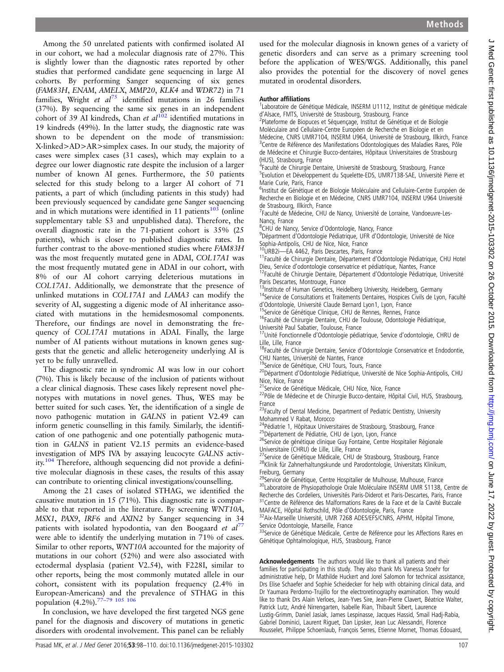J Med Genet: first published as 10.1136/jmedgenet-2015-103302 on 26 October 2015. Downloaded from http://jmg.bmj.com/ on June 17, 2022 by guest. Protected by copyright J Med Genet: first published as 10.1136/jmedgenet-2015-103302 on 26 October 2015. Downloaded from <http://jmg.bmj.com/> on June 17, 2022 by guest. Protected by copyright.

Among the 50 unrelated patients with confirmed isolated AI in our cohort, we had a molecular diagnosis rate of 27%. This is slightly lower than the diagnostic rates reported by other studies that performed candidate gene sequencing in large AI cohorts. By performing Sanger sequencing of six genes (FAM83H, ENAM, AMELX, MMP20, KLK4 and WDR72) in 71 families, Wright et  $al^{75}$  identified mutations in 26 families (37%). By sequencing the same six genes in an independent cohort of 39 AI kindreds, Chan et  $al^{102}$  identified mutations in 19 kindreds (49%). In the latter study, the diagnostic rate was shown to be dependent on the mode of transmission: X-linked>AD>AR>simplex cases. In our study, the majority of cases were simplex cases (31 cases), which may explain to a degree our lower diagnostic rate despite the inclusion of a larger number of known AI genes. Furthermore, the 50 patients selected for this study belong to a larger AI cohort of 71 patients, a part of which (including patients in this study) had been previously sequenced by candidate gene Sanger sequencing and in which mutations were identified in 11 patients $10^3$  (online supplementary table S3 and unpublished data). Therefore, the overall diagnostic rate in the 71-patient cohort is 35% (25 patients), which is closer to published diagnostic rates. In further contrast to the above-mentioned studies where FAM83H was the most frequently mutated gene in ADAI, COL17A1 was the most frequently mutated gene in ADAI in our cohort, with 8% of our AI cohort carrying deleterious mutations in COL17A1. Additionally, we demonstrate that the presence of unlinked mutations in COL17A1 and LAMA3 can modify the severity of AI, suggesting a digenic mode of AI inheritance associated with mutations in the hemidesmosomal components. Therefore, our findings are novel in demonstrating the frequency of COL17A1 mutations in ADAI. Finally, the large number of AI patients without mutations in known genes suggests that the genetic and allelic heterogeneity underlying AI is yet to be fully unravelled.

The diagnostic rate in syndromic AI was low in our cohort (7%). This is likely because of the inclusion of patients without a clear clinical diagnosis. These cases likely represent novel phenotypes with mutations in novel genes. Thus, WES may be better suited for such cases. Yet, the identification of a single de novo pathogenic mutation in GALNS in patient V2.49 can inform genetic counselling in this family. Similarly, the identification of one pathogenic and one potentially pathogenic mutation in GALNS in patient V2.15 permits an evidence-based investigation of MPS IVA by assaying leucocyte GALNS activity.<sup>104</sup> Therefore, although sequencing did not provide a definitive molecular diagnosis in these cases, the results of this assay can contribute to orienting clinical investigations/counselling.

Among the 21 cases of isolated STHAG, we identified the causative mutation in 15 (71%). This diagnostic rate is comparable to that reported in the literature. By screening WNT10A, MSX1, PAX9, IRF6 and AXIN2 by Sanger sequencing in 34 patients with isolated hypodontia, van den Boogaard et  $al^{77}$ were able to identify the underlying mutation in 71% of cases. Similar to other reports, WNT10A accounted for the majority of mutations in our cohort (52%) and were also associated with ectodermal dysplasia (patient V2.54), with F228I, similar to other reports, being the most commonly mutated allele in our cohort, consistent with its population frequency (2.4% in European-Americans) and the prevalence of STHAG in this<br>non-valence  $(4.206 \times 77-79.105.106)$ population  $(4.2\%)$ .<sup>77</sup>

In conclusion, we have developed the first targeted NGS gene panel for the diagnosis and discovery of mutations in genetic disorders with orodental involvement. This panel can be reliably

used for the molecular diagnosis in known genes of a variety of genetic disorders and can serve as a primary screening tool before the application of WES/WGS. Additionally, this panel also provides the potential for the discovery of novel genes mutated in orodental disorders.

#### Author affiliations <sup>1</sup>

<sup>1</sup> Laboratoire de Génétique Médicale, INSERM U1112, Institut de génétique médicale <sup>d</sup>'Alsace, FMTS, Université de Strasbourg, Strasbourg, France <sup>2</sup>

<sup>2</sup>Plateforme de Biopuces et Séquençage, Institut de Génétique et de Biologie Moléculaire and Cellulaire-Centre Européen de Recherche en Biologie et en Médecine, CNRS UMR7104, INSERM U964, Université de Strasbourg, Illkirch, France <sup>3</sup>Centre de Référence des Manifestations Odontologiques des Maladies Rares, Pôle de Médecine et Chirurgie Bucco-dentaires, Hôpitaux Universitaires de Strasbourg (HUS), Strasbourg, France

<sup>4</sup>Faculté de Chirurgie Dentaire, Université de Strasbourg, Strasbourg, France

<sup>5</sup>Evolution et Développement du Squelette-EDS, UMR7138-SAE, Université Pierre et Marie Curie, Paris, France

<sup>6</sup>Institut de Génétique et de Biologie Moléculaire and Cellulaire-Centre Européen de Recherche en Biologie et en Médecine, CNRS UMR7104, INSERM U964 Université de Strasbourg, Illkirch, France

<sup>7</sup>Faculté de Médecine, CHU de Nancy, Université de Lorraine, Vandoeuvre-Les-Nancy, France

<sup>8</sup>CHU de Nancy, Service d'Odontologie, Nancy, France<br><sup>9</sup>Départment d'Odontologie Pédiatrique, UER d'Odont

Départment d'Odontologie Pédiatrique, UFR d'Odontologie, Université de Nice Sophia-Antipolis, CHU de Nice, Nice, France<br><sup>10</sup>URB2i—EA 4462, Paris Descartes, Paris, France

<sup>11</sup>Faculté de Chirurgie Dentaire, Département d'Odontologie Pédiatrique, CHU Hotel<br>Dieu, Service d'odontologie conservatrice et pédiatrique, Nantes, France

<sup>12</sup>Faculté de Chirurgie Dentaire, Département d'Odontologie Pédiatrique, Université Paris Descartes, Montrouge, France<br><sup>13</sup>Institute of Human Genetics, Heidelberg University, Heidelberg, Germany

<sup>14</sup>Service de Consultations et Traitements Dentaires, Hospices Civils de Lyon, Faculté<br>d'Odontologie, Université Claude Bernard Lyon1, Lyon, France

<sup>15</sup>Service de Génétique Clinique, CHU de Rennes, Rennes, France<br><sup>16</sup>Faculté de Chirurgie Dentaire, CHU de Toulouse, Odontologie Pédiatrique,

Université Paul Sabatier, Toulouse, France

17Unité Fonctionnelle d'Odontologie pédiatrique, Service d'odontologie, CHRU de Lille, Lille, France

<sup>18</sup>Faculté de Chirurgie Dentaire, Service d'Odontologie Conservatrice et Endodontie,

CHU Nantes, Université de Nantes, France<br><sup>19</sup>Service de Génétique, CHU Tours, Tours, France

<sup>20</sup>Départment d'Odontologie Pédiatrique, Université de Nice Sophia-Antipolis, CHU

Nice, Nice, France<br><sup>21</sup>Service de Génétique Médicale, CHU Nice, Nice, France 22Pôle de Médecine et de Chirurgie Bucco-dentaire, Hôpital Civil, HUS, Strasbourg,

France <sup>23</sup>Faculty of Dental Medicine, Department of Pediatric Dentistry, University

Mohammed V Rabat, Morocco<br><sup>24</sup>Pédiatrie 1, Hôpitaux Universitaires de Strasbourg, Strasbourg, France

<sup>25</sup> Département de Pédiatrie, CHU de Lyon, Lyon, France<br><sup>26</sup>Service de génétique clinique Guy Fontaine, Centre Hospitalier Régionale

Universitaire (CHRU) de Lille, Lille, France<br><sup>27</sup>Service de Génétique Médicale, CHU de Strasbourg, Strasbourg, France <sup>28</sup>Klinik für Zahnerhaltungskunde und Parodontologie, Universitats Klinikum,

Freiburg, Germany<br><sup>29</sup>Service de Génétique, Centre Hospitalier de Mulhouse, Mulhouse, France <sup>30</sup>Laboratoire de Physiopathologie Orale Moléculaire INSERM UMR S1138, Centre de Recherche des Cordeliers, Universités Paris-Diderot et Paris-Descartes, Paris, France

<sup>31</sup>Centre de Référence des Malformations Rares de la Face et de la Cavité Buccale<br>MAFACE, Hôpital Rothschild, Pôle d'Odontologie, Paris, France

<sup>32</sup>Aix-Marseille Université, UMR 7268 ADES/EFS/CNRS, APHM, Hôpital Timone, Service Odontologie, Marseille, France<br><sup>33</sup>Service de Génétique Médicale, Centre de Référence pour les Affections Rares en

Génétique Ophtalmologique, HUS, Strasbourg, France

Acknowledgements The authors would like to thank all patients and their families for participating in this study. They also thank Ms Vanessa Stoehr for administrative help, Dr Mathilde Huckert and Jorel Salomon for technical assistance, Drs Elise Schaefer and Sophie Scheidecker for help with obtaining clinical data, and Dr Yaumara Perdomo-Trujillo for the electroretinography examination. They would like to thank Drs Alain Verloes, Jean-Yves Sire, Jean-Pierre Clavert, Béatrice Walter, Patrick Lutz, André Nirrengarten, Isabelle Rian, Thibault Sibert, Laurence Lustig-Grimm, Daniel Jasiak, James Lespinasse, Jacques Hassid, Smail Hadj-Rabia, Gabriel Dominici, Laurent Riguet, Dan Lipsker, Jean Luc Alessandri, Florence Rousselet, Philippe Schoenlaub, François Serres, Etienne Mornet, Thomas Edouard,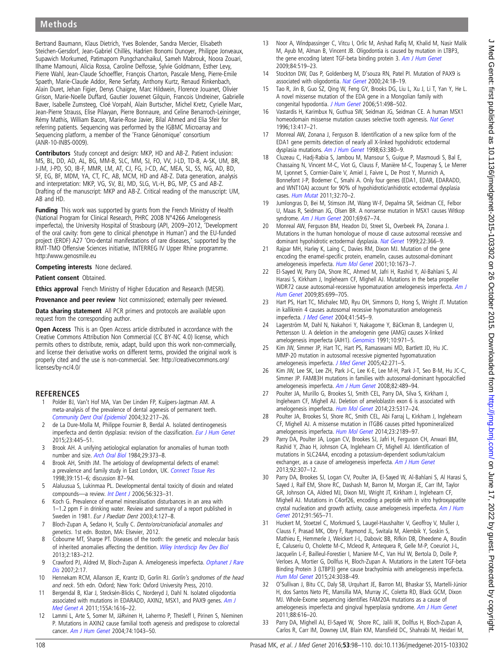## Methods

Bertrand Baumann, Klaus Dietrich, Yves Bolender, Sandra Mercier, Elisabeth Steichen-Gersdorf, Jean-Gabriel Chillès, Hadrien Bonomi Dunoyer, Philippe Jonveaux, Supawich Morkumed, Patimaporn Pungchanchaikul, Sameh Mabrouk, Noora Zouari, Ilhame Mamouni, Alicia Rossa, Caroline Delfosse, Sylvie Goldmann, Esther Levy, Pierre Wahl, Jean-Claude Schoeffler, François Charton, Pascale Meng, Pierre-Emile Spaeth, Marie-Claude Addor, Rene Serfaty, Anthony Kurtz, Renaud Rinkenbach, Alain Duret, Jehan Figier, Denys Chaigne, Marc Hildwein, Florence Jouanet, Olivier Grison, Marie-Noelle Duffard, Gautier Jouvenet Gilquin, Francois Undreiner, Gabrielle Baver, Isabelle Zumsteeg, Cloé Vorpahl, Alain Burtscher, Michel Kretz, Cyrielle Marc, Jean-Pierre Strauss, Elise Pilavyan, Pierre Bonnaure, and Celine Benarroch-Leininger, Rémy Mathis, William Bacon, Marie-Rose Javier, Bilal Ahmed and Elia Sfeir for referring patients. Sequencing was performed by the IGBMC Microarray and Sequencing platform, a member of the 'France Génomique' consortium (ANR-10-INBS-0009).

Contributors Study concept and design: MKP, HD and AB-Z. Patient inclusion: MS, BL, DD, AD, AL, BG, MM-B, SLC, MM, SJ, FO, VV, J-LD, TD-B, A-SK, UM, BR, J-JM, J-PD, SO, IB-F, MMR, LM, AT, CJ, FG, J-CD, AC, MEA, SL, SS, NG, AD, BD, SF, EG, BF, MDM, YA, CT, FC, AB, MCM, HD and AB-Z. Data generation, analysis and interpretation: MKP, VG, SV, BJ, MD, SLG, VL-H, BG, MP, CS and AB-Z. Drafting of the manuscript: MKP and AB-Z. Critical reading of the manuscript: UM, AB and HD.

Funding This work was supported by grants from the French Ministry of Health (National Program for Clinical Research, PHRC 2008 N°4266 Amelogenesis imperfecta), the University Hospital of Strasbourg (API, 2009–2012, 'Development of the oral cavity: from gene to clinical phenotype in Human') and the EU-funded project (ERDF) A27 'Oro-dental manifestations of rare diseases,' supported by the RMT-TMO Offensive Sciences initiative, INTERREG IV Upper Rhine programme. <http://www.genosmile.eu>

Competing interests None declared.

#### Patient consent Obtained.

Ethics approval French Ministry of Higher Education and Research (MESR).

Provenance and peer review Not commissioned; externally peer reviewed.

Data sharing statement All PCR primers and protocols are available upon request from the corresponding author.

Open Access This is an Open Access article distributed in accordance with the Creative Commons Attribution Non Commercial (CC BY-NC 4.0) license, which permits others to distribute, remix, adapt, build upon this work non-commercially, and license their derivative works on different terms, provided the original work is properly cited and the use is non-commercial. See: [http://creativecommons.org/](http://creativecommons.org/licenses/by-nc/4.0/) [licenses/by-nc/4.0/](http://creativecommons.org/licenses/by-nc/4.0/)

#### **REFERENCES**

- 1 Polder BJ, Van't Hof MA, Van Der Linden FP, Kuijpers-Jagtman AM. A meta-analysis of the prevalence of dental agenesis of permanent teeth. [Community Dent Oral Epidemiol](http://dx.doi.org/10.1111/j.1600-0528.2004.00158.x) 2004;32:217–26.
- 2 de La Dure-Molla M, Philippe Fournier B, Berdal A. Isolated dentinogenesis imperfecta and dentin dysplasia: revision of the classification. [Eur J Hum Genet](http://dx.doi.org/10.1038/ejhg.2014.159) 2015;23:445–51.
- 3 Brook AH. A unifying aetiological explanation for anomalies of human tooth number and size. [Arch Oral Biol](http://dx.doi.org/10.1016/0003-9969(84)90163-8) 1984;29:373–8.
- 4 Brook AH, Smith JM. The aetiology of developmental defects of enamel: a prevalence and family study in East London, UK. [Connect Tissue Res](http://dx.doi.org/10.3109/03008209809023921) 1998;39:151–6; discussion 87–94.
- 5 Alaluusua S, Lukinmaa PL. Developmental dental toxicity of dioxin and related compounds-a review. [Int Dent J](http://dx.doi.org/10.1111/j.1875-595X.2006.tb00336.x) 2006;56:323-31.
- 6 Koch G. Prevalence of enamel mineralisation disturbances in an area with 1–1.2 ppm F in drinking water. Review and summary of a report published in Sweden in 1981. Eur J Paediatr Dent 2003;4:127–8.
- Bloch-Zupan A, Sedano H, Scully C. Dento/oro/craniofacial anomalies and genetics. 1st edn. Boston, MA: Elsevier, 2012.
- 8 Cobourne MT, Sharpe PT. Diseases of the tooth: the genetic and molecular basis of inherited anomalies affecting the dentition. [Wiley Interdiscip Rev Dev Biol](http://dx.doi.org/10.1002/wdev.66) 2013;2:183–212.
- 9 Crawford PJ, Aldred M, Bloch-Zupan A. Amelogenesis imperfecta. [Orphanet J Rare](http://dx.doi.org/10.1186/1750-1172-2-17) [Dis](http://dx.doi.org/10.1186/1750-1172-2-17) 2007;2:17.
- Hennekam RCM, Allanson JE, Krantz ID, Gorlin RJ. Gorlin's syndromes of the head and neck. 5th edn. Oxford; New York: Oxford University Press, 2010.
- 11 Bergendal B, Klar J, Stecksén-Blicks C, Norderyd J, Dahl N. Isolated oligodontia associated with mutations in EDARADD, AXIN2, MSX1, and PAX9 genes. [Am J](http://dx.doi.org/10.1002/ajmg.a.34045) [Med Genet A](http://dx.doi.org/10.1002/ajmg.a.34045) 2011;155A:1616–22.
- Lammi L, Arte S, Somer M, JäRvinen H, Lahermo P, Thesleff I, Pirinen S, Nieminen P. Mutations in AXIN2 cause familial tooth agenesis and predispose to colorectal cancer. [Am J Hum Genet](http://dx.doi.org/10.1086/386293) 2004;74:1043–50.
- 13 Noor A, Windpassinger C, Vitcu I, Orlic M, Arshad Rafiq M, Khalid M, Nasir Malik M, Ayub M, Alman B, Vincent JB. Oligodontia is caused by mutation in LTBP3, the gene encoding latent TGF-beta binding protein 3. [Am J Hum Genet](http://dx.doi.org/10.1016/j.ajhg.2009.03.007) 2009;84:519–23.
- 14 Stockton DW, Das P, Goldenberg M, D'souza RN, Patel PI. Mutation of PAX9 is associated with oligodontia. [Nat Genet](http://dx.doi.org/10.1038/71634) 2000;24:18-19.
- 15 Tao R, Jin B, Guo SZ, Qing W, Feng GY, Brooks DG, Liu L, Xu J, Li T, Yan Y, He L. A novel missense mutation of the EDA gene in a Mongolian family with congenital hypodontia. [J Hum Genet](http://dx.doi.org/10.1007/s10038-006-0389-2) 2006;51:498-502.
- 16 Vastardis H, Karimbux N, Guthua SW, Seidman JG, Seidman CE. A human MSX1 homeodomain missense mutation causes selective tooth agenesis. [Nat Genet](http://dx.doi.org/10.1038/ng0896-417) 1996;13:417–21.
- 17 Monreal AW, Zonana J, Ferguson B. Identification of a new splice form of the EDA1 gene permits detection of nearly all X-linked hypohidrotic ectodermal dysplasia mutations. [Am J Hum Genet](http://dx.doi.org/10.1086/301984) 1998;63:380-9.
- 18 Cluzeau C, Hadj-Rabia S, Jambou M, Mansour S, Guigue P, Masmoudi S, Bal E, Chassaing N, Vincent M-C, Viot G, Clauss F, Manière M-C, Toupenay S, Le Merrer M, Lyonnet S, Cormier-Daire V, Amiel J, Faivre L, De Prost Y, Munnich A, Bonnefont J-P, Bodemer C, Smahi A. Only four genes (EDA1, EDAR, EDARADD, and WNT10A) account for 90% of hypohidrotic/anhidrotic ectodermal dysplasia cases. [Hum Mutat](http://dx.doi.org/10.1002/humu.21384) 2011;32:70–2.
- 19 Jumlongras D, Bei M, Stimson JM, Wang W-F, Depalma SR, Seidman CE, Felbor U, Maas R, Seidman JG, Olsen BR. A nonsense mutation in MSX1 causes Witkop syndrome. [Am J Hum Genet](http://dx.doi.org/10.1086/321271) 2001;69:67-74.
- 20 Monreal AW, Ferguson BM, Headon DJ, Street SL, Overbeek PA, Zonana J. Mutations in the human homologue of mouse dl cause autosomal recessive and dominant hypohidrotic ectodermal dysplasia. [Nat Genet](http://dx.doi.org/10.1038/11937) 1999;22:366-9.
- 21 Rajpar MH, Harley K, Laing C, Davies RM, Dixon MJ. Mutation of the gene encoding the enamel-specific protein, enamelin, causes autosomal-dominant amelogenesis imperfecta. [Hum Mol Genet](http://dx.doi.org/10.1093/hmg/10.16.1673) 2001;10:1673–7.
- 22 El-Sayed W, Parry DA, Shore RC, Ahmed M, Jafri H, Rashid Y, Al-Bahlani S, Al Harasi S, Kirkham J, Inglehearn CF, Mighell AJ. Mutations in the beta propeller WDR72 cause autosomal-recessive hypomaturation amelogenesis imperfecta. [Am J](http://dx.doi.org/10.1016/j.ajhg.2009.09.014) [Hum Genet](http://dx.doi.org/10.1016/j.ajhg.2009.09.014) 2009;85:699–705.
- 23 Hart PS, Hart TC, Michalec MD, Ryu OH, Simmons D, Hong S, Wright JT. Mutation in kallikrein 4 causes autosomal recessive hypomaturation amelogenesis imperfecta. [J Med Genet](http://dx.doi.org/10.1136/jmg.2003.017657) 2004;41:545–9.
- 24 Lagerström M, Dahl N, Nakahori Y, Nakagome Y, BäCkman B, Landegren U, Pettersson U. A deletion in the amelogenin gene (AMG) causes X-linked amelogenesis imperfecta (AIH1). [Genomics](http://dx.doi.org/10.1016/0888-7543(91)90187-J) 1991;10:971-5.
- 25 Kim JW, Simmer JP, Hart TC, Hart PS, Ramaswami MD, Bartlett JD, Hu JC. MMP-20 mutation in autosomal recessive pigmented hypomaturation amelogenesis imperfecta. [J Med Genet](http://dx.doi.org/10.1136/jmg.2004.024505) 2005;42:271–5.
- 26 Kim JW, Lee SK, Lee ZH, Park J-C, Lee K-E, Lee M-H, Park J-T, Seo B-M, Hu JC-C, Simmer JP. FAM83H mutations in families with autosomal-dominant hypocalcified amelogenesis imperfecta. [Am J Hum Genet](http://dx.doi.org/10.1016/j.ajhg.2007.09.020) 2008;82:489–94.
- 27 Poulter JA, Murillo G, Brookes SJ, Smith CEL, Parry DA, Silva S, Kirkham J, Inglehearn CF, Mighell AJ. Deletion of ameloblastin exon 6 is associated with amelogenesis imperfecta. [Hum Mol Genet](http://dx.doi.org/10.1093/hmg/ddu247) 2014;23:5317–24.
- 28 Poulter JA, Brookes SJ, Shore RC, Smith CEL, Abi Farraj L, Kirkham J, Inglehearn CF, Mighell AJ. A missense mutation in ITGB6 causes pitted hypomineralized amelogenesis imperfecta. [Hum Mol Genet](http://dx.doi.org/10.1093/hmg/ddt616) 2014;23:2189–97.
- 29 Parry DA, Poulter JA, Logan CV, Brookes SJ, Jafri H, Ferguson CH, Anwari BM, Rashid Y, Zhao H, Johnson CA, Inglehearn CF, Mighell AJ. Identification of mutations in SLC24A4, encoding a potassium-dependent sodium/calcium exchanger, as a cause of amelogenesis imperfecta. [Am J Hum Genet](http://dx.doi.org/10.1016/j.ajhg.2013.01.003) 2013;92:307–12.
- 30 Parry DA, Brookes SJ, Logan CV, Poulter JA, El-Sayed W, Al-Bahlani S, Al Harasi S, Sayed J, Raïf EM, Shore RC, Dashash M, Barron M, Morgan JE, Carr IM, Taylor GR, Johnson CA, Aldred MJ, Dixon MJ, Wright JT, Kirkham J, Inglehearn CF, Mighell AJ. Mutations in C4orf26, encoding a peptide with in vitro hydroxyapatite crystal nucleation and growth activity, cause amelogenesis imperfecta. [Am J Hum](http://dx.doi.org/10.1016/j.ajhg.2012.07.020) [Genet](http://dx.doi.org/10.1016/j.ajhg.2012.07.020) 2012;91:565–71.
- 31 Huckert M, Stoetzel C, Morkmued S, Laugel-Haushalter V, Geoffroy V, Muller J, Clauss F, Prasad MK, Obry F, Raymond JL, Switala M, Alembik Y, Soskin S, Mathieu E, Hemmerle J, Weickert J-L, Dabovic BB, Rifkin DB, Dheedene A, Boudin E, Caluseriu O, Cholette M-C, Mcleod R, Antequera R, Gelle M-P, Coeuriot J-L, Jacquelin L-F, Bailleul-Forestier I, Maniere M-C, Van Hul W, Bertola D, Dolle P, Verloes A, Mortier G, Dollfus H, Bloch-Zupan A. Mutations in the Latent TGF-beta Binding Protein 3 (LTBP3) gene cause brachyolmia with amelogenesis imperfecta. [Hum Mol Genet](http://dx.doi.org/10.1093/hmg/ddv053) 2015;24:3038–49.
- 32 O'Sullivan J, Bitu CC, Daly SB, Urquhart JE, Barron MJ, Bhaskar SS, Martelli-Júnior H, dos Santos Neto PE, Mansilla MA, Murray JC, Coletta RD, Black GCM, Dixon MJ. Whole-Exome sequencing identifies FAM20A mutations as a cause of amelogenesis imperfecta and gingival hyperplasia syndrome. [Am J Hum Genet](http://dx.doi.org/10.1016/j.ajhg.2011.04.005) 2011;88:616–20.
- 33 Parry DA, Mighell AJ, El-Sayed W, Shore RC, Jalili IK, Dollfus H, Bloch-Zupan A, Carlos R, Carr IM, Downey LM, Blain KM, Mansfield DC, Shahrabi M, Heidari M,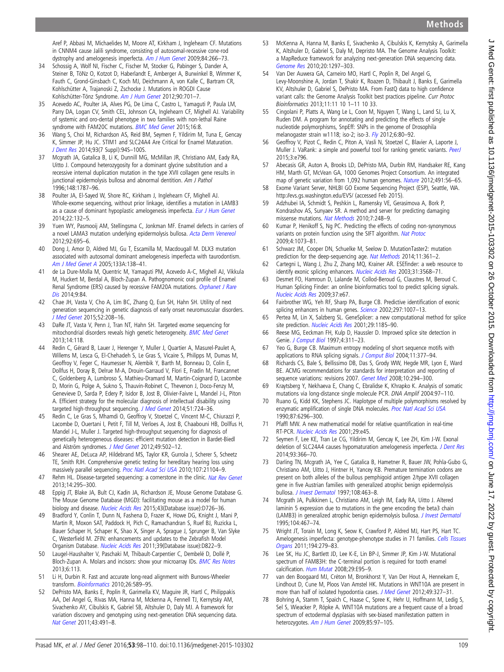Aref P, Abbasi M, Michaelides M, Moore AT, Kirkham J, Inglehearn CF. Mutations in CNNM4 cause Jalili syndrome, consisting of autosomal-recessive cone-rod dystrophy and amelogenesis imperfecta. [Am J Hum Genet](http://dx.doi.org/10.1016/j.ajhg.2009.01.009) 2009;84:266–73.

- 34 Schossig A, Wolf NI, Fischer C, Fischer M, Stocker G, Pabinger S, Dander A, Steiner B, TöNz O, Kotzot D, Haberlandt E, Amberger A, Burwinkel B, Wimmer K, Fauth C, Grond-Ginsbach C, Koch MJ, Deichmann A, von Kalle C, Bartram CR, Kohlschütter A, Trajanoski Z, Zschocke J. Mutations in ROGDI Cause Kohlschütter-Tönz Syndrome. [Am J Hum Genet](http://dx.doi.org/10.1016/j.ajhg.2012.02.012) 2012;90:701–7.
- 35 Acevedo AC, Poulter JA, Alves PG, De Lima C, Castro L, Yamaguti P, Paula LM, Parry DA, Logan CV, Smith CEL, Johnson CA, Inglehearn CF, Mighell AJ. Variability of systemic and oro-dental phenotype in two families with non-lethal Raine syndrome with FAM20C mutations. [BMC Med Genet](http://dx.doi.org/10.1186/s12881-015-0154-5) 2015;16:8.
- 36 Wang S, Choi M, Richardson AS, Reid BM, Seymen F, Yildirim M, Tuna E, Gencay K, Simmer JP, Hu JC. STIM1 and SLC24A4 Are Critical for Enamel Maturation. [J Dent Res](http://dx.doi.org/10.1177/0022034514527971) 2014;93(7 Suppl):94S–100S.
- 37 Mcgrath JA, Gatalica B, Li K, Dunnill MG, McMillan JR, Christiano AM, Eady RA, Uitto J. Compound heterozygosity for a dominant glycine substitution and a recessive internal duplication mutation in the type XVII collagen gene results in junctional epidermolysis bullosa and abnormal dentition. Am J Pathol 1996;148:1787–96.
- 38 Poulter JA, El-Sayed W, Shore RC, Kirkham J, Inglehearn CF, Mighell AJ. Whole-exome sequencing, without prior linkage, identifies a mutation in LAMB3 as a cause of dominant hypoplastic amelogenesis imperfecta. [Eur J Hum Genet](http://dx.doi.org/10.1038/ejhg.2013.76) 2014;22:132–5.
- 39 Yuen WY, Pasmooij AM, Stellingsma C, Jonkman MF. Enamel defects in carriers of a novel LAMA3 mutation underlying epidermolysis bullosa. [Acta Derm Venereol](http://dx.doi.org/10.2340/00015555-1341) 2012;92:695–6.
- 40 Dong J, Amor D, Aldred MJ, Gu T, Escamilla M, Macdougall M. DLX3 mutation associated with autosomal dominant amelogenesis imperfecta with taurodontism. [Am J Med Genet A](http://dx.doi.org/10.1002/ajmg.a.30521) 2005;133A:138–41.
- 41 de La Dure-Molla M, Quentric M, Yamaguti PM, Acevedo A-C, Mighell AJ, Vikkula M, Huckert M, Berdal A, Bloch-Zupan A. Pathognomonic oral profile of Enamel Renal Syndrome (ERS) caused by recessive FAM20A mutations. [Orphanet J Rare](http://dx.doi.org/10.1186/1750-1172-9-84) [Dis](http://dx.doi.org/10.1186/1750-1172-9-84) 2014;9:84.
- 42 Chae JH, Vasta V, Cho A, Lim BC, Zhang Q, Eun SH, Hahn SH. Utility of next generation sequencing in genetic diagnosis of early onset neuromuscular disorders. [J Med Genet](http://dx.doi.org/10.1136/jmedgenet-2014-102819) 2015;52:208–16.
- 43 DaRe JT, Vasta V, Penn J, Tran NT, Hahn SH. Targeted exome sequencing for mitochondrial disorders reveals high genetic heterogeneity. [BMC Med Genet](http://dx.doi.org/10.1186/1471-2350-14-118) 2013;14:118.
- 44 Redin C, Gérard B, Lauer J, Herenger Y, Muller J, Quartier A, Masurel-Paulet A, Willems M, Lesca G, El-Chehadeh S, Le Gras S, Vicaire S, Philipps M, Dumas M, Geoffroy V, Feger C, Haumesser N, Alembik Y, Barth M, Bonneau D, Colin E, Dollfus H, Doray B, Delrue M-A, Drouin-Garraud V, Flori E, Fradin M, Francannet C, Goldenberg A, Lumbroso S, Mathieu-Dramard M, Martin-Coignard D, Lacombe D, Morin G, Polge A, Sukno S, Thauvin-Robinet C, Thevenon J, Doco-Fenzy M, Genevieve D, Sarda P, Edery P, Isidor B, Jost B, Olivier-Faivre L, Mandel J-L, Piton A. Efficient strategy for the molecular diagnosis of intellectual disability using targeted high-throughput sequencing. [J Med Genet](http://dx.doi.org/10.1136/jmedgenet-2014-102554) 2014;51:724-36.
- Redin C, Le Gras S, Mhamdi O, Geoffroy V, Stoetzel C, Vincent M-C, Chiurazzi P, Lacombe D, Ouertani I, Petit F, Till M, Verloes A, Jost B, Chaabouni HB, Dollfus H, Mandel J-L, Muller J. Targeted high-throughput sequencing for diagnosis of genetically heterogeneous diseases: efficient mutation detection in Bardet-Biedl and Alström syndromes. [J Med Genet](http://dx.doi.org/10.1136/jmedgenet-2012-100875) 2012;49:502-12.
- Shearer AE, DeLuca AP, Hildebrand MS, Taylor KR, Gurrola J, Scherer S, Scheetz TE, Smith RJH. Comprehensive genetic testing for hereditary hearing loss using massively parallel sequencing. [Proc Natl Acad Sci USA](http://dx.doi.org/10.1073/pnas.1012989107) 2010;107:21104-9.
- 47 Rehm HL. Disease-targeted sequencing: a cornerstone in the clinic. [Nat Rev Genet](http://dx.doi.org/10.1038/nrg3463) 2013;14:295–300.
- 48 Eppig JT, Blake JA, Bult CJ, Kadin JA, Richardson JE, Mouse Genome Database G. The Mouse Genome Database (MGD): facilitating mouse as a model for human biology and disease. [Nucleic Acids Res](http://dx.doi.org/10.1093/nar/gku967) 2015;43(Database issue):D726-36.
- 49 Bradford Y, Conlin T, Dunn N, Fashena D, Frazer K, Howe DG, Knight J, Mani P, Martin R, Moxon SAT, Paddock H, Pich C, Ramachandran S, Ruef BJ, Ruzicka L, Bauer Schaper H, Schaper K, Shao X, Singer A, Sprague J, Sprunger B, Van Slyke C, Westerfield M. ZFIN: enhancements and updates to the Zebrafish Model Organism Database. [Nucleic Acids Res](http://dx.doi.org/10.1093/nar/gkq1077) 2011;39(Database issue):D822–9.
- 50 Laugel-Haushalter V, Paschaki M, Thibault-Carpentier C, Dembelé D, Dollé P, Bloch-Zupan A. Molars and incisors: show your microarray IDs. [BMC Res Notes](http://dx.doi.org/10.1186/1756-0500-6-113) 2013;6:113.
- 51 Li H, Durbin R. Fast and accurate long-read alignment with Burrows-Wheeler transform. [Bioinformatics](http://dx.doi.org/10.1093/bioinformatics/btp698) 2010;26:589-95.
- 52 DePristo MA, Banks E, Poplin R, Garimella KV, Maguire JR, Hartl C, Philippakis AA, Del Angel G, Rivas MA, Hanna M, Mckenna A, Fennell TJ, Kernytsky AM, Sivachenko AY, Cibulskis K, Gabriel SB, Altshuler D, Daly MJ. A framework for variation discovery and genotyping using next-generation DNA sequencing data. [Nat Genet](http://dx.doi.org/10.1038/ng.806) 2011;43:491–8.
- 53 McKenna A, Hanna M, Banks E, Sivachenko A, Cibulskis K, Kernytsky A, Garimella K, Altshuler D, Gabriel S, Daly M, Depristo MA. The Genome Analysis Toolkit: a MapReduce framework for analyzing next-generation DNA sequencing data. [Genome Res](http://dx.doi.org/10.1101/gr.107524.110) 2010;20:1297–303.
- 54 Van Der Auwera GA, Carneiro MO, Hartl C, Poplin R, Del Angel G, Levy-Moonshine A, Jordan T, Shakir K, Roazen D, Thibault J, Banks E, Garimella KV, Altshuler D, Gabriel S, DePristo MA. From FastQ data to high confidence variant calls: the Genome Analysis Toolkit best practices pipeline. Curr Protoc Bioinformatics 2013;11:11 10 1–11 10 33.
- 55 Cingolani P, Platts A, Wang Le L, Coon M, Nguyen T, Wang L, Land SJ, Lu X, Ruden DM. A program for annotating and predicting the effects of single nucleotide polymorphisms, SnpEff: SNPs in the genome of Drosophila melanogaster strain w1118; iso-2; iso-3. [Fly](http://dx.doi.org/10.4161/fly.19695) 2012;6:80–92.
- 56 Geoffroy V, Pizot C, Redin C, Piton A, Vasli N, Stoetzel C, Blavier A, Laporte J, Muller J. VaRank: a simple and powerful tool for ranking genetic variants. [PeerJ](http://dx.doi.org/10.7717/peerj.796) 2015;3:e796.
- 57 Abecasis GR, Auton A, Brooks LD, DePristo MA, Durbin RM, Handsaker RE, Kang HM, Marth GT, McVean GA, 1000 Genomes Project Consortium. An integrated map of genetic variation from 1,092 human genomes. [Nature](http://dx.doi.org/10.1038/nature11632) 2012;491:56-65.
- 58 Exome Variant Server, NHLBI GO Exome Sequencing Project (ESP), Seattle, WA. <http://evs.gs.washington.edu/EVS/> (accessed Feb 2015).
- 59 Adzhubei IA, Schmidt S, Peshkin L, Ramensky VE, Gerasimova A, Bork P, Kondrashov AS, Sunyaev SR. A method and server for predicting damaging missense mutations. [Nat Methods](http://dx.doi.org/10.1038/nmeth0410-248) 2010;7:248-9.
- 60 Kumar P, Henikoff S, Ng PC. Predicting the effects of coding non-synonymous variants on protein function using the SIFT algorithm. [Nat Protoc](http://dx.doi.org/10.1038/nprot.2009.86) 2009;4:1073–81.
- 61 Schwarz JM, Cooper DN, Schuelke M, Seelow D. MutationTaster2: mutation prediction for the deep-sequencing age. [Nat Methods](http://dx.doi.org/10.1038/nmeth.2890) 2014;11:361-2.
- 62 Cartegni L, Wang J, Zhu Z, Zhang MQ, Krainer AR. ESEfinder: a web resource to identify exonic splicing enhancers. [Nucleic Acids Res](http://dx.doi.org/10.1093/nar/gkg616) 2003;31:3568-71.
- 63 Desmet FO, Hamroun D, Lalande M, Collod-Beroud G, Claustres M, Beroud C. Human Splicing Finder: an online bioinformatics tool to predict splicing signals. [Nucleic Acids Res](http://dx.doi.org/10.1093/nar/gkp215) 2009;37:e67.
- 64 Fairbrother WG, Yeh RF, Sharp PA, Burge CB. Predictive identification of exonic splicing enhancers in human genes. [Science](http://dx.doi.org/10.1126/science.1073774) 2002;297:1007-13.
- 65 Pertea M, Lin X, Salzberg SL. GeneSplicer: a new computational method for splice site prediction. [Nucleic Acids Res](http://dx.doi.org/10.1093/nar/29.5.1185) 2001;29:1185–90.
- 66 Reese MG, Eeckman FH, Kulp D, Haussler D. Improved splice site detection in Genie. [J Comput Biol](http://dx.doi.org/10.1089/cmb.1997.4.311) 1997;4:311–23.
- 67 Yeo G, Burge CB. Maximum entropy modeling of short sequence motifs with applications to RNA splicing signals. [J Comput Biol](http://dx.doi.org/10.1089/1066527041410418) 2004;11:377-94.
- 68 Richards CS, Bale S, Bellissimo DB, Das S, Grody WW, Hegde MR, Lyon E, Ward BE. ACMG recommendations for standards for interpretation and reporting of sequence variations: revisions 2007. [Genet Med](http://dx.doi.org/10.1097/GIM.0b013e31816b5cae) 2008;10:294-300.
- 69 Kraytsberg Y, Nekhaeva E, Chang C, Ebralidse K, Khrapko K. Analysis of somatic mutations via long-distance single molecule PCR. DNA Amplif 2004:97–110.
- 70 Ruano G, Kidd KK, Stephens JC. Haplotype of multiple polymorphisms resolved by enzymatic amplification of single DNA molecules. [Proc Natl Acad Sci USA](http://dx.doi.org/10.1073/pnas.87.16.6296) 1990;87:6296–300.
- 71 Pfaffl MW. A new mathematical model for relative quantification in real-time RT-PCR. [Nucleic Acids Res](http://dx.doi.org/10.1093/nar/29.9.e45) 2001;29:e45.
- 72 Seymen F, Lee KE, Tran Le CG, Yildirim M, Gencay K, Lee ZH, Kim J-W. Exonal deletion of SLC24A4 causes hypomaturation amelogenesis imperfecta. [J Dent Res](http://dx.doi.org/10.1177/0022034514523786) 2014;93:366–70.
- 73 DarIing TN, Mcgrath JA, Yee C, Gatalica B, Hametner R, Bauer JW, Pohla-Gubo G, Christiano AM, Uitto J, Hintner H, Yancey KB. Premature termination codons are present on both alleles of the bullous pemphigoid antigen 2/type XVII collagen gene in five Austrian families with generalized atrophic benign epidermolysis bullosa. [J Invest Dermatol](http://dx.doi.org/10.1111/1523-1747.ep12289718) 1997;108:463-8.
- 74 Mcgrath JA, Pulkkinen L, Christiano AM, Leigh IM, Eady RA, Uitto J. Altered laminin 5 expression due to mutations in the gene encoding the beta3 chain (LAMB3) in generalized atrophic benign epidermolysis bullosa. [J Invest Dermatol](http://dx.doi.org/10.1111/1523-1747.ep12605904) 1995;104:467–74.
- 75 Wright JT, Torain M, Long K, Seow K, Crawford P, Aldred MJ, Hart PS, Hart TC. Amelogenesis imperfecta: genotype-phenotype studies in 71 families. [Cells Tissues](http://dx.doi.org/10.1159/000324339) [Organs](http://dx.doi.org/10.1159/000324339) 2011;194:279–83.
- 76 Lee SK, Hu JC, Bartlett JD, Lee K-E, Lin BP-J, Simmer JP, Kim J-W. Mutational spectrum of FAM83H: the C-terminal portion is required for tooth enamel calcification. [Hum Mutat](http://dx.doi.org/10.1002/humu.20789) 2008;29:E95-9.
- 77 van den Boogaard MJ, Créton M, Bronkhorst Y, Van Der Hout A, Hennekam E, Lindhout D, Cune M, Ploos Van Amstel HK. Mutations in WNT10A are present in more than half of isolated hypodontia cases. [J Med Genet](http://dx.doi.org/10.1136/jmedgenet-2012-100750) 2012;49:327-31.
- 78 Bohring A, Stamm T, Spaich C, Haase C, Spree K, Hehr U, Hoffmann M, Ledig S, Sel S, Wieacker P, Röpke A. WNT10A mutations are a frequent cause of a broad spectrum of ectodermal dysplasias with sex-biased manifestation pattern in heterozygotes. [Am J Hum Genet](http://dx.doi.org/10.1016/j.ajhg.2009.06.001) 2009;85:97-105.